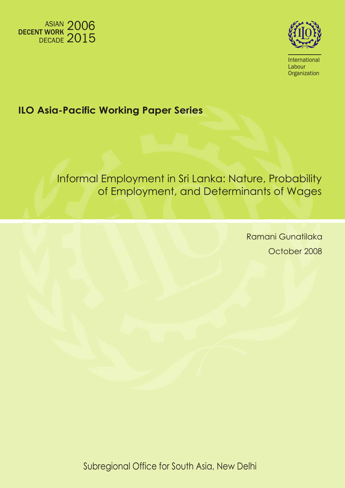



# **ILO Asia-Pacific Working Paper Series**

# Informal Employment in Sri Lanka: Nature, Probability of Employment, and Determinants of Wages

Ramani Gunatilaka October 2008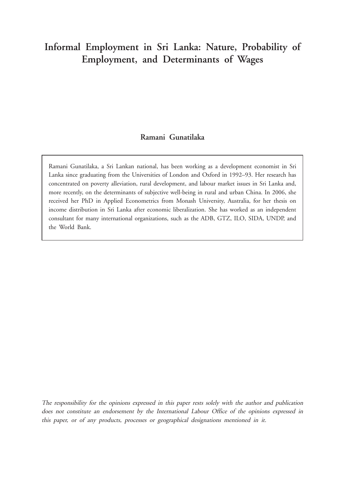# **Informal Employment in Sri Lanka: Nature, Probability of Employment, and Determinants of Wages**

## **Ramani Gunatilaka**

Ramani Gunatilaka, a Sri Lankan national, has been working as a development economist in Sri Lanka since graduating from the Universities of London and Oxford in 1992–93. Her research has concentrated on poverty alleviation, rural development, and labour market issues in Sri Lanka and, more recently, on the determinants of subjective well-being in rural and urban China. In 2006, she received her PhD in Applied Econometrics from Monash University, Australia, for her thesis on income distribution in Sri Lanka after economic liberalization. She has worked as an independent consultant for many international organizations, such as the ADB, GTZ, ILO, SIDA, UNDP, and the World Bank.

The responsibility for the opinions expressed in this paper rests solely with the author and publication does not constitute an endorsement by the International Labour Office of the opinions expressed in this paper, or of any products, processes or geographical designations mentioned in it.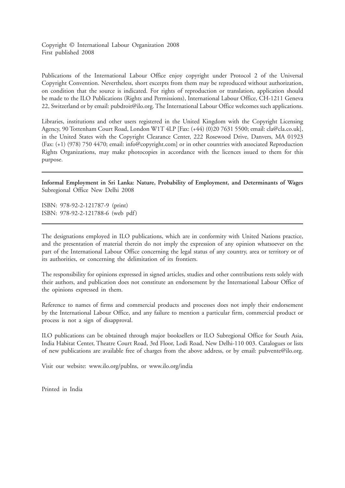Copyright © International Labour Organization 2008 First published 2008

Publications of the International Labour Office enjoy copyright under Protocol 2 of the Universal Copyright Convention. Nevertheless, short excerpts from them may be reproduced without authorization, on condition that the source is indicated. For rights of reproduction or translation, application should be made to the ILO Publications (Rights and Permissions), International Labour Office, CH-1211 Geneva 22, Switzerland or by email: pubdroit@ilo.org. The International Labour Office welcomes such applications.

Libraries, institutions and other users registered in the United Kingdom with the Copyright Licensing Agency, 90 Tottenham Court Road, London W1T 4LP [Fax: (+44) (0)20 7631 5500; email: cla@cla.co.uk], in the United States with the Copyright Clearance Center, 222 Rosewood Drive, Danvers, MA 01923 (Fax: (+1) (978) 750 4470; email: info@copyright.com] or in other countries with associated Reproduction Rights Organizations, may make photocopies in accordance with the licences issued to them for this purpose.

**Informal Employment in Sri Lanka: Nature, Probability of Employment, and Determinants of Wages** Subregional Office New Delhi 2008

ISBN: 978-92-2-121787-9 (print) ISBN: 978-92-2-121788-6 (web pdf)

The designations employed in ILO publications, which are in conformity with United Nations practice, and the presentation of material therein do not imply the expression of any opinion whatsoever on the part of the International Labour Office concerning the legal status of any country, area or territory or of its authorities, or concerning the delimitation of its frontiers.

The responsibility for opinions expressed in signed articles, studies and other contributions rests solely with their authors, and publication does not constitute an endorsement by the International Labour Office of the opinions expressed in them.

Reference to names of firms and commercial products and processes does not imply their endorsement by the International Labour Office, and any failure to mention a particular firm, commercial product or process is not a sign of disapproval.

ILO publications can be obtained through major booksellers or ILO Subregional Office for South Asia, India Habitat Center, Theatre Court Road, 3rd Floor, Lodi Road, New Delhi-110 003. Catalogues or lists of new publications are available free of charges from the above address, or by email: pubvente@ilo.org.

Visit our website: www.ilo.org/publns, or www.ilo.org/india

Printed in India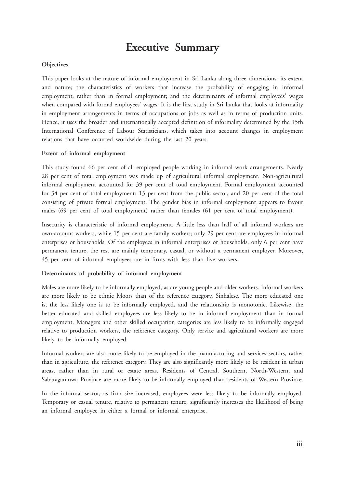# **Executive Summary**

#### **Objectives**

This paper looks at the nature of informal employment in Sri Lanka along three dimensions: its extent and nature; the characteristics of workers that increase the probability of engaging in informal employment, rather than in formal employment; and the determinants of informal employees' wages when compared with formal employees' wages. It is the first study in Sri Lanka that looks at informality in employment arrangements in terms of occupations or jobs as well as in terms of production units. Hence, it uses the broader and internationally accepted definition of informality determined by the 15th International Conference of Labour Statisticians, which takes into account changes in employment relations that have occurred worldwide during the last 20 years.

#### **Extent of informal employment**

This study found 66 per cent of all employed people working in informal work arrangements. Nearly 28 per cent of total employment was made up of agricultural informal employment. Non-agricultural informal employment accounted for 39 per cent of total employment. Formal employment accounted for 34 per cent of total employment: 13 per cent from the public sector, and 20 per cent of the total consisting of private formal employment. The gender bias in informal employment appears to favour males (69 per cent of total employment) rather than females (61 per cent of total employment).

Insecurity is characteristic of informal employment. A little less than half of all informal workers are own-account workers, while 15 per cent are family workers; only 29 per cent are employees in informal enterprises or households. Of the employees in informal enterprises or households, only 6 per cent have permanent tenure, the rest are mainly temporary, casual, or without a permanent employer. Moreover, 45 per cent of informal employees are in firms with less than five workers.

#### **Determinants of probability of informal employment**

Males are more likely to be informally employed, as are young people and older workers. Informal workers are more likely to be ethnic Moors than of the reference category, Sinhalese. The more educated one is, the less likely one is to be informally employed, and the relationship is monotonic. Likewise, the better educated and skilled employees are less likely to be in informal employment than in formal employment. Managers and other skilled occupation categories are less likely to be informally engaged relative to production workers, the reference category. Only service and agricultural workers are more likely to be informally employed.

Informal workers are also more likely to be employed in the manufacturing and services sectors, rather than in agriculture, the reference category. They are also significantly more likely to be resident in urban areas, rather than in rural or estate areas. Residents of Central, Southern, North-Western, and Sabaragamuwa Province are more likely to be informally employed than residents of Western Province.

In the informal sector, as firm size increased, employees were less likely to be informally employed. Temporary or casual tenure, relative to permanent tenure, significantly increases the likelihood of being an informal employee in either a formal or informal enterprise.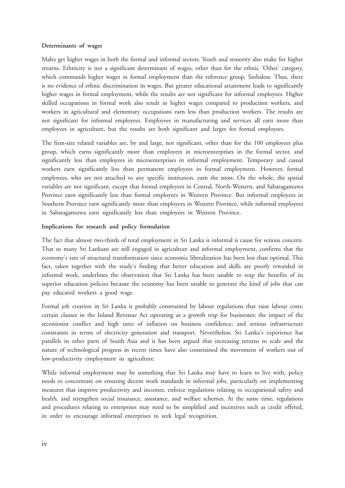#### **Determinants of wages**

Males get higher wages in both the formal and informal sectors. Youth and seniority also make for higher returns. Ethnicity is not a significant determinant of wages, other than for the ethnic 'Other' category, which commands higher wages in formal employment than the reference group, Sinhalese. Thus, there is no evidence of ethnic discrimination in wages. But greater educational attainment leads to significantly higher wages in formal employment, while the results are not significant for informal employees. Higher skilled occupations in formal work also result in higher wages compared to production workers, and workers in agricultural and elementary occupations earn less than production workers. The results are not significant for informal employees. Employees in manufacturing and services all earn more than employees in agriculture, but the results are both significant and larger for formal employees.

The firm-size related variables are, by and large, not significant, other than for the 100 employees plus group, which earns significantly more than employees in microenterprises in the formal sector, and significantly less than employees in microenterprises in informal employment. Temporary and casual workers earn significantly less than permanent employees in formal employment. However, formal employees, who are not attached to any specific institution, earn the most. On the whole, the spatial variables are not significant, except that formal employees in Central, North-Western, and Sabaragamuwa Province earn significantly less than formal employees in Western Province. But informal employees in Southern Province earn significantly more than employees in Western Province, while informal employees in Sabaragamuwa earn significantly less than employees in Western Province.

#### **Implications for research and policy formulation**

The fact that almost two-thirds of total employment in Sri Lanka is informal is cause for serious concern. That so many Sri Lankans are still engaged in agriculture and informal employment, confirms that the economy's rate of structural transformation since economic liberalization has been less than optimal. This fact, taken together with the study's finding that better education and skills are poorly rewarded in informal work, underlines the observation that Sri Lanka has been unable to reap the benefits of its superior education policies because the economy has been unable to generate the kind of jobs that can pay educated workers a good wage.

Formal job creation in Sri Lanka is probably constrained by labour regulations that raise labour costs; certain clauses in the Inland Revenue Act operating as a growth trap for businesses; the impact of the secessionist conflict and high rates of inflation on business confidence; and serious infrastructure constraints in terms of electricity generation and transport. Nevertheless, Sri Lanka's experience has parallels in other parts of South Asia and it has been argued that increasing returns to scale and the nature of technological progress in recent times have also constrained the movement of workers out of low-productivity employment in agriculture.

While informal employment may be something that Sri Lanka may have to learn to live with, policy needs to concentrate on ensuring decent work standards in informal jobs, particularly on implementing measures that improve productivity and incomes, enforce regulations relating to occupational safety and health, and strengthen social insurance, assistance, and welfare schemes. At the same time, regulations and procedures relating to enterprises may need to be simplified and incentives such as credit offered, in order to encourage informal enterprises to seek legal recognition.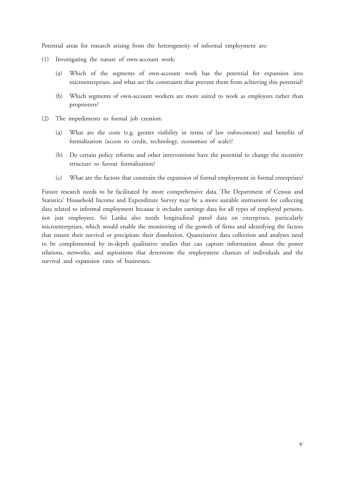Potential areas for research arising from the heterogeneity of informal employment are:

- (1) Investigating the nature of own-account work:
	- (a) Which of the segments of own-account work has the potential for expansion into microenterprises, and what are the constraints that prevent them from achieving this potential?
	- (b) Which segments of own-account workers are more suited to work as employees rather than proprietors?
- (2) The impediments to formal job creation:
	- (a) What are the costs (e.g. greater visibility in terms of law enforcement) and benefits of formalization (access to credit, technology, economies of scale)?
	- (b) Do certain policy reforms and other interventions have the potential to change the incentive structure to favour formalization?
	- (c) What are the factors that constrain the expansion of formal employment in formal enterprises?

Future research needs to be facilitated by more comprehensive data. The Department of Census and Statistics' Household Income and Expenditure Survey may be a more suitable instrument for collecting data related to informal employment because it includes earnings data for all types of employed persons, not just employees. Sri Lanka also needs longitudinal panel data on enterprises, particularly microenterprises, which would enable the monitoring of the growth of firms and identifying the factors that ensure their survival or precipitate their dissolution. Quantitative data collection and analyses need to be complemented by in-depth qualitative studies that can capture information about the power relations, networks, and aspirations that determine the employment chances of individuals and the survival and expansion rates of businesses.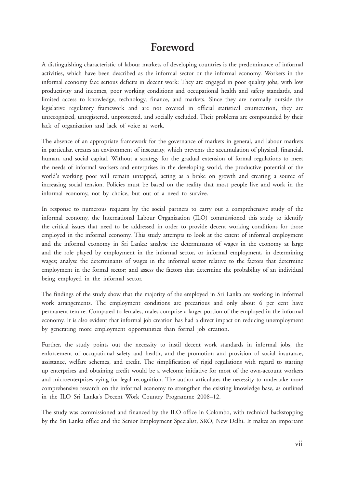# **Foreword**

A distinguishing characteristic of labour markets of developing countries is the predominance of informal activities, which have been described as the informal sector or the informal economy. Workers in the informal economy face serious deficits in decent work: They are engaged in poor quality jobs, with low productivity and incomes, poor working conditions and occupational health and safety standards, and limited access to knowledge, technology, finance, and markets. Since they are normally outside the legislative regulatory framework and are not covered in official statistical enumeration, they are unrecognized, unregistered, unprotected, and socially excluded. Their problems are compounded by their lack of organization and lack of voice at work.

The absence of an appropriate framework for the governance of markets in general, and labour markets in particular, creates an environment of insecurity, which prevents the accumulation of physical, financial, human, and social capital. Without a strategy for the gradual extension of formal regulations to meet the needs of informal workers and enterprises in the developing world, the productive potential of the world's working poor will remain untapped, acting as a brake on growth and creating a source of increasing social tension. Policies must be based on the reality that most people live and work in the informal economy, not by choice, but out of a need to survive.

In response to numerous requests by the social partners to carry out a comprehensive study of the informal economy, the International Labour Organization (ILO) commissioned this study to identify the critical issues that need to be addressed in order to provide decent working conditions for those employed in the informal economy. This study attempts to look at the extent of informal employment and the informal economy in Sri Lanka; analyse the determinants of wages in the economy at large and the role played by employment in the informal sector, or informal employment, in determining wages; analyse the determinants of wages in the informal sector relative to the factors that determine employment in the formal sector; and assess the factors that determine the probability of an individual being employed in the informal sector.

The findings of the study show that the majority of the employed in Sri Lanka are working in informal work arrangements. The employment conditions are precarious and only about 6 per cent have permanent tenure. Compared to females, males comprise a larger portion of the employed in the informal economy. It is also evident that informal job creation has had a direct impact on reducing unemployment by generating more employment opportunities than formal job creation.

Further, the study points out the necessity to instil decent work standards in informal jobs, the enforcement of occupational safety and health, and the promotion and provision of social insurance, assistance, welfare schemes, and credit. The simplification of rigid regulations with regard to starting up enterprises and obtaining credit would be a welcome initiative for most of the own-account workers and microenterprises vying for legal recognition. The author articulates the necessity to undertake more comprehensive research on the informal economy to strengthen the existing knowledge base, as outlined in the ILO Sri Lanka's Decent Work Country Programme 2008–12.

The study was commissioned and financed by the ILO office in Colombo, with technical backstopping by the Sri Lanka office and the Senior Employment Specialist, SRO, New Delhi. It makes an important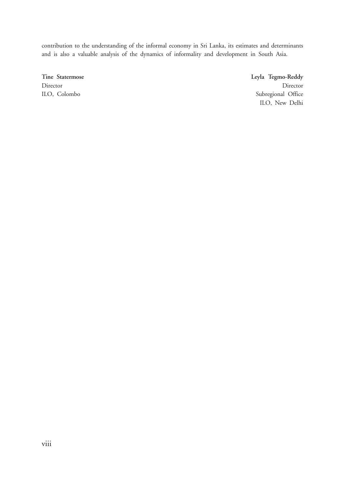contribution to the understanding of the informal economy in Sri Lanka, its estimates and determinants and is also a valuable analysis of the dynamics of informality and development in South Asia.

**Tine Statermose Leyla Tegmo-Reddy** Director Director ILO, Colombo Subregional Office ILO, New Delhi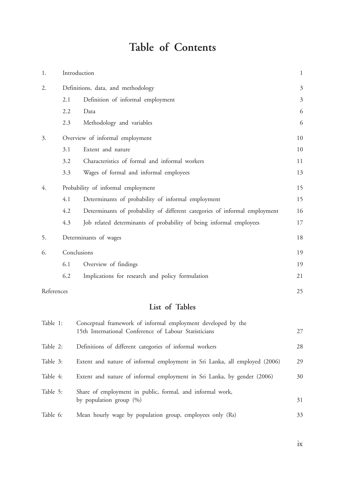# **Table of Contents**

| 1.         | Introduction |                                                                                                                       |                |  |  |
|------------|--------------|-----------------------------------------------------------------------------------------------------------------------|----------------|--|--|
| 2.         |              | Definitions, data, and methodology                                                                                    | $\mathfrak{Z}$ |  |  |
|            | 2.1          | Definition of informal employment                                                                                     | $\mathfrak{Z}$ |  |  |
|            | 2.2          | Data                                                                                                                  | 6              |  |  |
|            | 2.3          | Methodology and variables                                                                                             | 6              |  |  |
| 3.         |              | Overview of informal employment                                                                                       | 10             |  |  |
|            | 3.1          | Extent and nature                                                                                                     | 10             |  |  |
|            | 3.2          | Characteristics of formal and informal workers                                                                        | 11             |  |  |
|            | 3.3          | Wages of formal and informal employees                                                                                | 13             |  |  |
| 4.         |              | Probability of informal employment                                                                                    | 15             |  |  |
|            | 4.1          | Determinants of probability of informal employment                                                                    | 15             |  |  |
|            | 4.2          | Determinants of probability of different categories of informal employment                                            | 16             |  |  |
|            | 4.3          | Job related determinants of probability of being informal employees                                                   | 17             |  |  |
| 5.         |              | Determinants of wages                                                                                                 | 18             |  |  |
| 6.         |              | Conclusions                                                                                                           | 19             |  |  |
|            | 6.1          | Overview of findings                                                                                                  | 19             |  |  |
|            | 6.2          | Implications for research and policy formulation                                                                      | 21             |  |  |
| References |              |                                                                                                                       | 25             |  |  |
|            |              | List of Tables                                                                                                        |                |  |  |
| Table 1:   |              | Conceptual framework of informal employment developed by the<br>15th International Conference of Labour Statisticians | 27             |  |  |
| Table 2:   |              | Definitions of different categories of informal workers                                                               | 28             |  |  |
| Table 3:   |              | Extent and nature of informal employment in Sri Lanka, all employed (2006)                                            | 29             |  |  |
| Table 4:   |              | Extent and nature of informal employment in Sri Lanka, by gender (2006)                                               | 30             |  |  |
| Table 5:   |              | Share of employment in public, formal, and informal work,<br>by population group $(\%)$                               | 31             |  |  |
| Table 6:   |              | Mean hourly wage by population group, employees only (Rs)                                                             | 33             |  |  |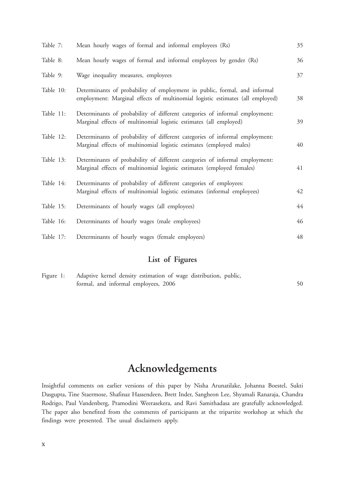| Table 7:  | Mean hourly wages of formal and informal employees (Rs)                                                                                                    | 35 |
|-----------|------------------------------------------------------------------------------------------------------------------------------------------------------------|----|
| Table 8:  | Mean hourly wages of formal and informal employees by gender (Rs)                                                                                          | 36 |
| Table 9:  | Wage inequality measures, employees                                                                                                                        | 37 |
| Table 10: | Determinants of probability of employment in public, formal, and informal<br>employment: Marginal effects of multinomial logistic estimates (all employed) | 38 |
| Table 11: | Determinants of probability of different categories of informal employment:<br>Marginal effects of multinomial logistic estimates (all employed)           | 39 |
| Table 12: | Determinants of probability of different categories of informal employment:<br>Marginal effects of multinomial logistic estimates (employed males)         | 40 |
| Table 13: | Determinants of probability of different categories of informal employment:<br>Marginal effects of multinomial logistic estimates (employed females)       | 41 |
| Table 14: | Determinants of probability of different categories of employees:<br>Marginal effects of multinomial logistic estimates (informal employees)               | 42 |
| Table 15: | Determinants of hourly wages (all employees)                                                                                                               | 44 |
| Table 16: | Determinants of hourly wages (male employees)                                                                                                              | 46 |
| Table 17: | Determinants of hourly wages (female employees)                                                                                                            | 48 |
|           |                                                                                                                                                            |    |

## **List of Figures**

| Figure 1: Adaptive kernel density estimation of wage distribution, public, |  |
|----------------------------------------------------------------------------|--|
| formal, and informal employees, 2006                                       |  |

# **Acknowledgements**

Insightful comments on earlier versions of this paper by Nisha Arunatilake, Johanna Boestel, Sukti Dasgupta, Tine Staermose, Shafinaz Hassendeen, Brett Inder, Sangheon Lee, Shyamali Ranaraja, Chandra Rodrigo, Paul Vandenberg, Pramodini Weerasekera, and Ravi Samithadasa are gratefully acknowledged. The paper also benefited from the comments of participants at the tripartite workshop at which the findings were presented. The usual disclaimers apply.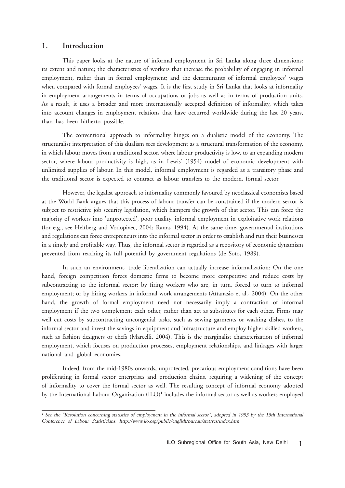#### **1. Introduction**

This paper looks at the nature of informal employment in Sri Lanka along three dimensions: its extent and nature; the characteristics of workers that increase the probability of engaging in informal employment, rather than in formal employment; and the determinants of informal employees' wages when compared with formal employees' wages. It is the first study in Sri Lanka that looks at informality in employment arrangements in terms of occupations or jobs as well as in terms of production units. As a result, it uses a broader and more internationally accepted definition of informality, which takes into account changes in employment relations that have occurred worldwide during the last 20 years, than has been hitherto possible.

The conventional approach to informality hinges on a dualistic model of the economy. The structuralist interpretation of this dualism sees development as a structural transformation of the economy, in which labour moves from a traditional sector, where labour productivity is low, to an expanding modern sector, where labour productivity is high, as in Lewis' (1954) model of economic development with unlimited supplies of labour. In this model, informal employment is regarded as a transitory phase and the traditional sector is expected to contract as labour transfers to the modern, formal sector.

However, the legalist approach to informality commonly favoured by neoclassical economists based at the World Bank argues that this process of labour transfer can be constrained if the modern sector is subject to restrictive job security legislation, which hampers the growth of that sector. This can force the majority of workers into 'unprotected', poor quality, informal employment in exploitative work relations (for e.g., see Heltberg and Vodopivec, 2004; Rama, 1994). At the same time, governmental institutions and regulations can force entrepreneurs into the informal sector in order to establish and run their businesses in a timely and profitable way. Thus, the informal sector is regarded as a repository of economic dynamism prevented from reaching its full potential by government regulations (de Soto, 1989).

In such an environment, trade liberalization can actually increase informalization: On the one hand, foreign competition forces domestic firms to become more competitive and reduce costs by subcontracting to the informal sector; by firing workers who are, in turn, forced to turn to informal employment; or by hiring workers in informal work arrangements (Attanasio et al., 2004). On the other hand, the growth of formal employment need not necessarily imply a contraction of informal employment if the two complement each other, rather than act as substitutes for each other. Firms may well cut costs by subcontracting uncongenial tasks, such as sewing garments or washing dishes, to the informal sector and invest the savings in equipment and infrastructure and employ higher skilled workers, such as fashion designers or chefs (Marcelli, 2004). This is the marginalist characterization of informal employment, which focuses on production processes, employment relationships, and linkages with larger national and global economies.

Indeed, from the mid-1980s onwards, unprotected, precarious employment conditions have been proliferating in formal sector enterprises and production chains, requiring a widening of the concept of informality to cover the formal sector as well. The resulting concept of informal economy adopted by the International Labour Organization (ILO)**<sup>1</sup>** includes the informal sector as well as workers employed

<sup>&</sup>lt;sup>1</sup> See the "Resolution concerning statistics of employment in the informal sector", adopted in 1993 by the 15th International Conference of Labour Statisticians, http://www.ilo.org/public/english/bureau/stat/res/index.htm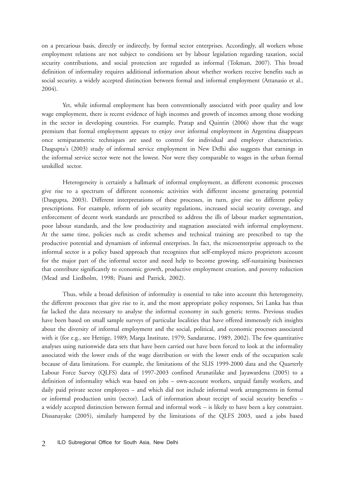on a precarious basis, directly or indirectly, by formal sector enterprises. Accordingly, all workers whose employment relations are not subject to conditions set by labour legislation regarding taxation, social security contributions, and social protection are regarded as informal (Tokman, 2007). This broad definition of informality requires additional information about whether workers receive benefits such as social security, a widely accepted distinction between formal and informal employment (Attanasio et al., 2004).

Yet, while informal employment has been conventionally associated with poor quality and low wage employment, there is recent evidence of high incomes and growth of incomes among those working in the sector in developing countries. For example, Pratap and Quintin (2006) show that the wage premium that formal employment appears to enjoy over informal employment in Argentina disappears once semiparametric techniques are used to control for individual and employer characteristics. Dasgupta's (2003) study of informal service employment in New Delhi also suggests that earnings in the informal service sector were not the lowest. Nor were they comparable to wages in the urban formal unskilled sector.

Heterogeneity is certainly a hallmark of informal employment, as different economic processes give rise to a spectrum of different economic activities with different income generating potential (Dasgupta, 2003). Different interpretations of these processes, in turn, give rise to different policy prescriptions. For example, reform of job security regulations, increased social security coverage, and enforcement of decent work standards are prescribed to address the ills of labour market segmentation, poor labour standards, and the low productivity and stagnation associated with informal employment. At the same time, policies such as credit schemes and technical training are prescribed to tap the productive potential and dynamism of informal enterprises. In fact, the microenterprise approach to the informal sector is a policy based approach that recognizes that self-employed micro proprietors account for the major part of the informal sector and need help to become growing, self-sustaining businesses that contribute significantly to economic growth, productive employment creation, and poverty reduction (Mead and Liedholm, 1998; Pisani and Patrick, 2002).

Thus, while a broad definition of informality is essential to take into account this heterogeneity, the different processes that give rise to it, and the most appropriate policy responses, Sri Lanka has thus far lacked the data necessary to analyse the informal economy in such generic terms. Previous studies have been based on small sample surveys of particular localities that have offered immensely rich insights about the diversity of informal employment and the social, political, and economic processes associated with it (for e.g., see Hettige, 1989; Marga Institute, 1979; Sandaratne, 1989, 2002). The few quantitative analyses using nationwide data sets that have been carried out have been forced to look at the informality associated with the lower ends of the wage distribution or with the lower ends of the occupation scale because of data limitations. For example, the limitations of the SLIS 1999-2000 data and the Quarterly Labour Force Survey (QLFS) data of 1997-2003 confined Arunatilake and Jayawardena (2005) to a definition of informality which was based on jobs – own-account workers, unpaid family workers, and daily paid private sector employees – and which did not include informal work arrangements in formal or informal production units (sector). Lack of information about receipt of social security benefits – a widely accepted distinction between formal and informal work – is likely to have been a key constraint. Dissanayake (2005), similarly hampered by the limitations of the QLFS 2003, used a jobs based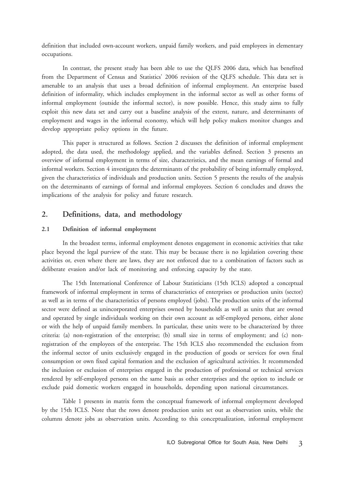definition that included own-account workers, unpaid family workers, and paid employees in elementary occupations.

In contrast, the present study has been able to use the QLFS 2006 data, which has benefited from the Department of Census and Statistics' 2006 revision of the QLFS schedule. This data set is amenable to an analysis that uses a broad definition of informal employment. An enterprise based definition of informality, which includes employment in the informal sector as well as other forms of informal employment (outside the informal sector), is now possible. Hence, this study aims to fully exploit this new data set and carry out a baseline analysis of the extent, nature, and determinants of employment and wages in the informal economy, which will help policy makers monitor changes and develop appropriate policy options in the future.

This paper is structured as follows. Section 2 discusses the definition of informal employment adopted, the data used, the methodology applied, and the variables defined. Section 3 presents an overview of informal employment in terms of size, characteristics, and the mean earnings of formal and informal workers. Section 4 investigates the determinants of the probability of being informally employed, given the characteristics of individuals and production units. Section 5 presents the results of the analysis on the determinants of earnings of formal and informal employees. Section 6 concludes and draws the implications of the analysis for policy and future research.

### **2. Definitions, data, and methodology**

#### **2.1 Definition of informal employment**

In the broadest terms, informal employment denotes engagement in economic activities that take place beyond the legal purview of the state. This may be because there is no legislation covering these activities or, even where there are laws, they are not enforced due to a combination of factors such as deliberate evasion and/or lack of monitoring and enforcing capacity by the state.

The 15th International Conference of Labour Statisticians (15th ICLS) adopted a conceptual framework of informal employment in terms of characteristics of enterprises or production units (sector) as well as in terms of the characteristics of persons employed (jobs). The production units of the informal sector were defined as unincorporated enterprises owned by households as well as units that are owned and operated by single individuals working on their own account as self-employed persons, either alone or with the help of unpaid family members. In particular, these units were to be characterized by three criteria: (a) non-registration of the enterprise; (b) small size in terms of employment; and (c) nonregistration of the employees of the enterprise. The 15th ICLS also recommended the exclusion from the informal sector of units exclusively engaged in the production of goods or services for own final consumption or own fixed capital formation and the exclusion of agricultural activities. It recommended the inclusion or exclusion of enterprises engaged in the production of professional or technical services rendered by self-employed persons on the same basis as other enterprises and the option to include or exclude paid domestic workers engaged in households, depending upon national circumstances.

Table 1 presents in matrix form the conceptual framework of informal employment developed by the 15th ICLS. Note that the rows denote production units set out as observation units, while the columns denote jobs as observation units. According to this conceptualization, informal employment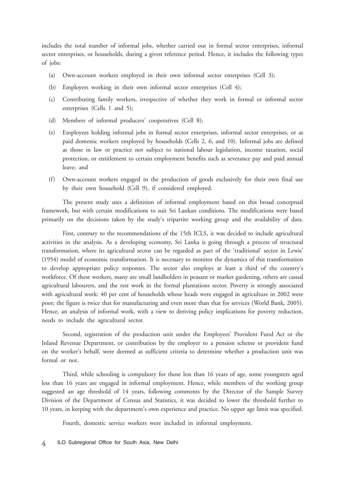includes the total number of informal jobs, whether carried out in formal sector enterprises, informal sector enterprises, or households, during a given reference period. Hence, it includes the following types of jobs:

- (a) Own-account workers employed in their own informal sector enterprises (Cell 3);
- (b) Employers working in their own informal sector enterprises (Cell 4);
- (c) Contributing family workers, irrespective of whether they work in formal or informal sector enterprises (Cells 1 and 5);
- (d) Members of informal producers' cooperatives (Cell 8);
- (e) Employees holding informal jobs in formal sector enterprises, informal sector enterprises, or as paid domestic workers employed by households (Cells 2, 6, and 10). Informal jobs are defined as those in law or practice not subject to national labour legislation, income taxation, social protection, or entitlement to certain employment benefits such as severance pay and paid annual leave; and
- (f) Own-account workers engaged in the production of goods exclusively for their own final use by their own household (Cell 9), if considered employed.

The present study uses a definition of informal employment based on this broad conceptual framework, but with certain modifications to suit Sri Lankan conditions. The modifications were based primarily on the decisions taken by the study's tripartite working group and the availability of data.

First, contrary to the recommendations of the 15th ICLS, it was decided to include agricultural activities in the analysis. As a developing economy, Sri Lanka is going through a process of structural transformation, where its agricultural sector can be regarded as part of the 'traditional' sector in Lewis' (1954) model of economic transformation. It is necessary to monitor the dynamics of this transformation to develop appropriate policy responses. The sector also employs at least a third of the country's workforce. Of these workers, many are small landholders in peasant or market gardening, others are casual agricultural labourers, and the rest work in the formal plantations sector. Poverty is strongly associated with agricultural work: 40 per cent of households whose heads were engaged in agriculture in 2002 were poor; the figure is twice that for manufacturing and even more than that for services (World Bank, 2005). Hence, an analysis of informal work, with a view to deriving policy implications for poverty reduction, needs to include the agricultural sector.

Second, registration of the production unit under the Employees' Provident Fund Act or the Inland Revenue Department, or contribution by the employer to a pension scheme or provident fund on the worker's behalf, were deemed as sufficient criteria to determine whether a production unit was formal or not.

Third, while schooling is compulsory for those less than 16 years of age, some youngsters aged less than 16 years are engaged in informal employment. Hence, while members of the working group suggested an age threshold of 14 years, following comments by the Director of the Sample Survey Division of the Department of Census and Statistics, it was decided to lower the threshold further to 10 years, in keeping with the department's own experience and practice. No upper age limit was specified.

Fourth, domestic service workers were included in informal employment.

4 ILO Subregional Office for South Asia, New Delhi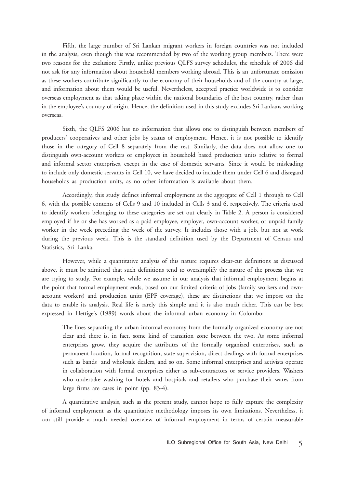Fifth, the large number of Sri Lankan migrant workers in foreign countries was not included in the analysis, even though this was recommended by two of the working group members. There were two reasons for the exclusion: Firstly, unlike previous QLFS survey schedules, the schedule of 2006 did not ask for any information about household members working abroad. This is an unfortunate omission as these workers contribute significantly to the economy of their households and of the country at large, and information about them would be useful. Nevertheless, accepted practice worldwide is to consider overseas employment as that taking place within the national boundaries of the host country, rather than in the employee's country of origin. Hence, the definition used in this study excludes Sri Lankans working overseas.

Sixth, the QLFS 2006 has no information that allows one to distinguish between members of producers' cooperatives and other jobs by status of employment. Hence, it is not possible to identify those in the category of Cell 8 separately from the rest. Similarly, the data does not allow one to distinguish own-account workers or employees in household based production units relative to formal and informal sector enterprises, except in the case of domestic servants. Since it would be misleading to include only domestic servants in Cell 10, we have decided to include them under Cell 6 and disregard households as production units, as no other information is available about them.

Accordingly, this study defines informal employment as the aggregate of Cell 1 through to Cell 6, with the possible contents of Cells 9 and 10 included in Cells 3 and 6, respectively. The criteria used to identify workers belonging to these categories are set out clearly in Table 2. A person is considered employed if he or she has worked as a paid employee, employer, own-account worker, or unpaid family worker in the week preceding the week of the survey. It includes those with a job, but not at work during the previous week. This is the standard definition used by the Department of Census and Statistics, Sri Lanka.

However, while a quantitative analysis of this nature requires clear-cut definitions as discussed above, it must be admitted that such definitions tend to oversimplify the nature of the process that we are trying to study. For example, while we assume in our analysis that informal employment begins at the point that formal employment ends, based on our limited criteria of jobs (family workers and ownaccount workers) and production units (EPF coverage), these are distinctions that we impose on the data to enable its analysis. Real life is rarely this simple and it is also much richer. This can be best expressed in Hettige's (1989) words about the informal urban economy in Colombo:

The lines separating the urban informal economy from the formally organized economy are not clear and there is, in fact, some kind of transition zone between the two. As some informal enterprises grow, they acquire the attributes of the formally organized enterprises, such as permanent location, formal recognition, state supervision, direct dealings with formal enterprises such as bands and wholesale dealers, and so on. Some informal enterprises and activists operate in collaboration with formal enterprises either as sub-contractors or service providers. Washers who undertake washing for hotels and hospitals and retailers who purchase their wares from large firms are cases in point (pp. 83-4).

A quantitative analysis, such as the present study, cannot hope to fully capture the complexity of informal employment as the quantitative methodology imposes its own limitations. Nevertheless, it can still provide a much needed overview of informal employment in terms of certain measurable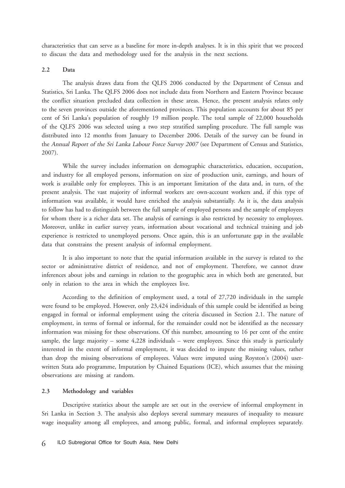characteristics that can serve as a baseline for more in-depth analyses. It is in this spirit that we proceed to discuss the data and methodology used for the analysis in the next sections.

#### **2.2 Data**

The analysis draws data from the QLFS 2006 conducted by the Department of Census and Statistics, Sri Lanka. The QLFS 2006 does not include data from Northern and Eastern Province because the conflict situation precluded data collection in these areas. Hence, the present analysis relates only to the seven provinces outside the aforementioned provinces. This population accounts for about 85 per cent of Sri Lanka's population of roughly 19 million people. The total sample of 22,000 households of the QLFS 2006 was selected using a two step stratified sampling procedure. The full sample was distributed into 12 months from January to December 2006. Details of the survey can be found in the Annual Report of the Sri Lanka Labour Force Survey 2007 (see Department of Census and Statistics, 2007).

While the survey includes information on demographic characteristics, education, occupation, and industry for all employed persons, information on size of production unit, earnings, and hours of work is available only for employees. This is an important limitation of the data and, in turn, of the present analysis. The vast majority of informal workers are own-account workers and, if this type of information was available, it would have enriched the analysis substantially. As it is, the data analysis to follow has had to distinguish between the full sample of employed persons and the sample of employees for whom there is a richer data set. The analysis of earnings is also restricted by necessity to employees. Moreover, unlike in earlier survey years, information about vocational and technical training and job experience is restricted to unemployed persons. Once again, this is an unfortunate gap in the available data that constrains the present analysis of informal employment.

It is also important to note that the spatial information available in the survey is related to the sector or administrative district of residence, and not of employment. Therefore, we cannot draw inferences about jobs and earnings in relation to the geographic area in which both are generated, but only in relation to the area in which the employees live.

According to the definition of employment used, a total of 27,720 individuals in the sample were found to be employed. However, only 23,424 individuals of this sample could be identified as being engaged in formal or informal employment using the criteria discussed in Section 2.1. The nature of employment, in terms of formal or informal, for the remainder could not be identified as the necessary information was missing for these observations. Of this number, amounting to 16 per cent of the entire sample, the large majority – some 4,228 individuals – were employees. Since this study is particularly interested in the extent of informal employment, it was decided to impute the missing values, rather than drop the missing observations of employees. Values were imputed using Royston's (2004) userwritten Stata ado programme, Imputation by Chained Equations (ICE), which assumes that the missing observations are missing at random.

#### **2.3 Methodology and variables**

Descriptive statistics about the sample are set out in the overview of informal employment in Sri Lanka in Section 3. The analysis also deploys several summary measures of inequality to measure wage inequality among all employees, and among public, formal, and informal employees separately.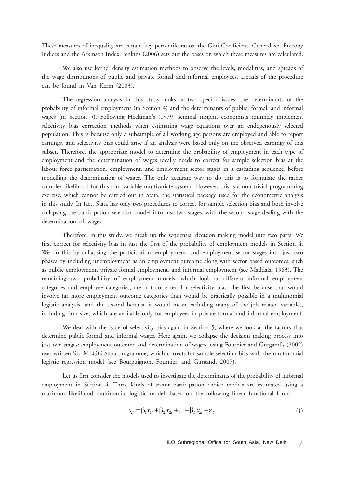These measures of inequality are certain key percentile ratios, the Gini Coefficient, Generalized Entropy Indices and the Atkinson Index. Jenkins (2006) sets out the bases on which these measures are calculated.

We also use kernel density estimation methods to observe the levels, modalities, and spreads of the wage distributions of public and private formal and informal employees. Details of the procedure can be found in Van Kerm (2003).

The regression analysis in this study looks at two specific issues: the determinants of the probability of informal employment (in Section 4) and the determinants of public, formal, and informal wages (in Section 5). Following Heckman's (1979) seminal insight, economists routinely implement selectivity bias correction methods when estimating wage equations over an endogenously selected population. This is because only a subsample of all working age persons are employed and able to report earnings, and selectivity bias could arise if an analysis were based only on the observed earnings of this subset. Therefore, the appropriate model to determine the probability of employment in each type of employment and the determination of wages ideally needs to correct for sample selection bias at the labour force participation, employment, and employment sector stages in a cascading sequence, before modelling the determination of wages. The only accurate way to do this is to formulate the rather complex likelihood for this four-variable multivariate system. However, this is a non-trivial programming exercise, which cannot be carried out in Stata, the statistical package used for the econometric analysis in this study. In fact, Stata has only two procedures to correct for sample selection bias and both involve collapsing the participation selection model into just two stages, with the second stage dealing with the determination of wages.

Therefore, in this study, we break up the sequential decision making model into two parts. We first correct for selectivity bias in just the first of the probability of employment models in Section 4. We do this by collapsing the participation, employment, and employment sector stages into just two phases by including unemployment as an employment outcome along with sector based outcomes, such as public employment, private formal employment, and informal employment (see Maddala, 1983). The remaining two probability of employment models, which look at different informal employment categories and employee categories, are not corrected for selectivity bias: the first because that would involve far more employment outcome categories than would be practically possible in a multinomial logistic analysis, and the second because it would mean excluding many of the job related variables, including firm size, which are available only for employees in private formal and informal employment.

We deal with the issue of selectivity bias again in Section 5, where we look at the factors that determine public formal and informal wages. Here again, we collapse the decision making process into just two stages: employment outcome and determination of wages, using Fournier and Gurgand's (2002) user-written SELMLOG Stata programme, which corrects for sample selection bias with the multinomial logistic regression model (see Bourguignon, Fournier, and Gurgand, 2007).

Let us first consider the models used to investigate the determinants of the probability of informal employment in Section 4. Three kinds of sector participation choice models are estimated using a maximum-likelihood multinomial logistic model, based on the following linear functional form:

$$
s_{ij} = \beta_1 x_{1i} + \beta_2 x_{2i} + \dots + \beta_k x_{ki} + \varepsilon_{ij}
$$
 (1)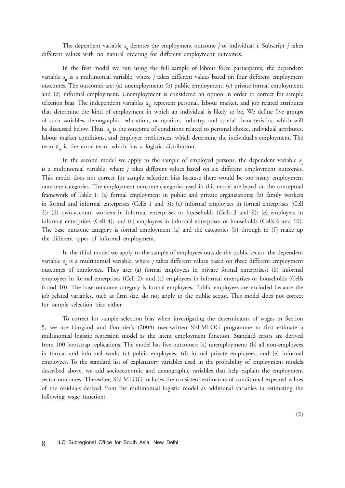The dependent variable  $s_{\scriptscriptstyle{ij}}$  denotes the employment outcome  $j$  of individual  $i$ . Subscript  $j$  takes different values with no natural ordering for different employment outcomes.

In the first model we run using the full sample of labour force participants, the dependent variable <sup>s</sup>**ij** is a multinomial variable, where j takes different values based on four different employment outcomes. The outcomes are: (a) unemployment; (b) public employment; (c) private formal employment; and (d) informal employment. Unemployment is considered an option in order to correct for sample selection bias. The independent variables x<sub>ki</sub> represent personal, labour market, and job related attributes that determine the kind of employment in which an individual is likely to be. We define five groups of such variables, demographic, education, occupation, industry, and spatial characteristics, which will be discussed below. Thus, <sup>s</sup>**ij** is the outcome of conditions related to personal choice, individual attributes, labour market conditions, and employer preferences, which determine the individual's employment. The term ε**ij** is the error term, which has a logistic distribution.

In the second model we apply to the sample of employed persons, the dependent variable  $s_{ij}$ is a multinomial variable, where j takes different values based on six different employment outcomes. This model does not correct for sample selection bias because there would be too many employment outcome categories. The employment outcome categories used in this model are based on the conceptual framework of Table 1: (a) formal employment in public and private organizations; (b) family workers in formal and informal enterprises (Cells 1 and 5); (c) informal employees in formal enterprises (Cell 2); (d) own-account workers in informal enterprises or households (Cells 3 and 9); (e) employers in informal enterprises (Cell 4); and (f) employees in informal enterprises or households (Cells 6 and 10). The base outcome category is formal employment (a) and the categories (b) through to (f) make up the different types of informal employment.

In the third model we apply to the sample of employees outside the public sector, the dependent variable <sup>s</sup>**ij** is a multinomial variable, where j takes different values based on three different employment outcomes of employees. They are: (a) formal employees in private formal enterprises; (b) informal employees in formal enterprises (Cell 2); and (c) employees in informal enterprises or households (Cells 6 and 10). The base outcome category is formal employees. Public employees are excluded because the job related variables, such as firm size, do not apply to the public sector. This model does not correct for sample selection bias either.

To correct for sample selection bias when investigating the determinants of wages in Section 5, we use Gurgand and Fournier's (2004) user-written SELMLOG programme to first estimate a multinomial logistic regression model as the latent employment function. Standard errors are derived from 100 bootstrap replications. The model has five outcomes: (a) unemployment; (b) all non-employees in formal and informal work; (c) public employees; (d) formal private employees; and (e) informal employees. To the standard list of explanatory variables used in the probability of employment models described above, we add socioeconomic and demographic variables that help explain the employment sector outcomes. Thereafter, SELMLOG includes the consistent estimators of conditional expected values of the residuals derived from the multinomial logistic model as additional variables in estimating the following wage function: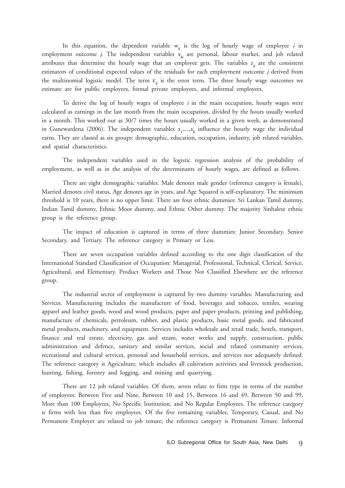In this equation, the dependent variable  $w_{ij}$  is the log of hourly wage of employee  $i$  in employment outcome *j*. The independent variables  $\mathbf{x}_{ki}$  are personal, labour market, and job related attributes that determine the hourly wage that an employee gets. The variables  $z_{ji}$  are the consistent estimators of conditional expected values of the residuals for each employment outcome j derived from the multinomial logistic model. The term  $\varepsilon_{ij}$  is the error term. The three hourly wage outcomes we estimate are for public employees, formal private employees, and informal employees.

To derive the log of hourly wages of employee  $i$  in the main occupation, hourly wages were calculated as earnings in the last month from the main occupation, divided by the hours usually worked in a month. This worked out as 30/7 times the hours usually worked in a given week, as demonstrated in Gunewardena (2006). The independent variables  $x_1, ..., x_k$  influence the hourly wage the individual earns. They are classed as six groups: demographic, education, occupation, industry, job related variables, and spatial characteristics.

The independent variables used in the logistic regression analysis of the probability of employment, as well as in the analysis of the determinants of hourly wages, are defined as follows.

There are eight demographic variables. Male denotes male gender (reference category is female), Married denotes civil status, Age denotes age in years, and Age Squared is self-explanatory. The minimum threshold is 10 years, there is no upper limit. There are four ethnic dummies: Sri Lankan Tamil dummy, Indian Tamil dummy, Ethnic Moor dummy, and Ethnic Other dummy. The majority Sinhalese ethnic group is the reference group.

The impact of education is captured in terms of three dummies: Junior Secondary, Senior Secondary, and Tertiary. The reference category is Primary or Less.

There are seven occupation variables defined according to the one digit classification of the International Standard Classification of Occupation: Managerial, Professional, Technical, Clerical, Service, Agricultural, and Elementary. Product Workers and Those Not Classified Elsewhere are the reference group.

The industrial sector of employment is captured by two dummy variables: Manufacturing and Services. Manufacturing includes the manufacture of food, beverages and tobacco, textiles, wearing apparel and leather goods, wood and wood products, paper and paper products, printing and publishing, manufacture of chemicals, petroleum, rubber, and plastic products, basic metal goods, and fabricated metal products, machinery, and equipment. Services includes wholesale and retail trade, hotels, transport, finance and real estate, electricity, gas and steam, water works and supply, construction, public administration and defence, sanitary and similar services, social and related community services, recreational and cultural services, personal and household services, and services not adequately defined. The reference category is Agriculture, which includes all cultivation activities and livestock production, hunting, fishing, forestry and logging, and mining and quarrying.

There are 12 job related variables. Of them, seven relate to firm type in terms of the number of employees: Between Five and Nine, Between 10 and 15, Between 16 and 49, Between 50 and 99, More than 100 Employees, No Specific Institution, and No Regular Employees. The reference category is firms with less than five employees. Of the five remaining variables, Temporary, Casual, and No Permanent Employer are related to job tenure; the reference category is Permanent Tenure. Informal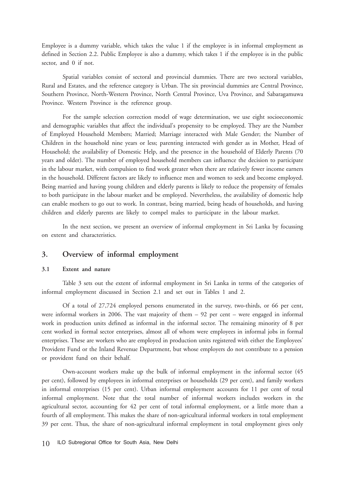Employee is a dummy variable, which takes the value 1 if the employee is in informal employment as defined in Section 2.2. Public Employee is also a dummy, which takes 1 if the employee is in the public sector, and 0 if not.

Spatial variables consist of sectoral and provincial dummies. There are two sectoral variables, Rural and Estates, and the reference category is Urban. The six provincial dummies are Central Province, Southern Province, North-Western Province, North Central Province, Uva Province, and Sabaragamuwa Province. Western Province is the reference group.

For the sample selection correction model of wage determination, we use eight socioeconomic and demographic variables that affect the individual's propensity to be employed. They are the Number of Employed Household Members; Married; Marriage interacted with Male Gender; the Number of Children in the household nine years or less; parenting interacted with gender as in Mother, Head of Household; the availability of Domestic Help, and the presence in the household of Elderly Parents (70 years and older). The number of employed household members can influence the decision to participate in the labour market, with compulsion to find work greater when there are relatively fewer income earners in the household. Different factors are likely to influence men and women to seek and become employed. Being married and having young children and elderly parents is likely to reduce the propensity of females to both participate in the labour market and be employed. Nevertheless, the availability of domestic help can enable mothers to go out to work. In contrast, being married, being heads of households, and having children and elderly parents are likely to compel males to participate in the labour market.

In the next section, we present an overview of informal employment in Sri Lanka by focussing on extent and characteristics.

#### **3. Overview of informal employment**

### **3.1 Extent and nature**

Table 3 sets out the extent of informal employment in Sri Lanka in terms of the categories of informal employment discussed in Section 2.1 and set out in Tables 1 and 2.

Of a total of 27,724 employed persons enumerated in the survey, two-thirds, or 66 per cent, were informal workers in 2006. The vast majority of them – 92 per cent – were engaged in informal work in production units defined as informal in the informal sector. The remaining minority of 8 per cent worked in formal sector enterprises, almost all of whom were employees in informal jobs in formal enterprises. These are workers who are employed in production units registered with either the Employees' Provident Fund or the Inland Revenue Department, but whose employers do not contribute to a pension or provident fund on their behalf.

Own-account workers make up the bulk of informal employment in the informal sector (45 per cent), followed by employees in informal enterprises or households (29 per cent), and family workers in informal enterprises (15 per cent). Urban informal employment accounts for 11 per cent of total informal employment. Note that the total number of informal workers includes workers in the agricultural sector, accounting for 42 per cent of total informal employment, or a little more than a fourth of all employment. This makes the share of non-agricultural informal workers in total employment 39 per cent. Thus, the share of non-agricultural informal employment in total employment gives only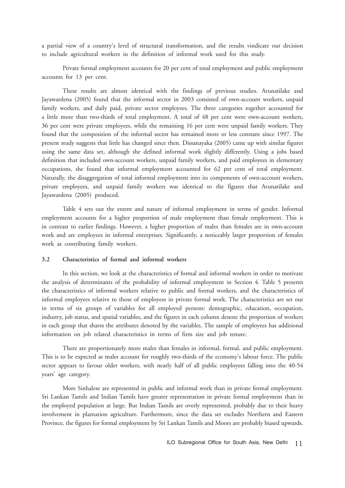a partial view of a country's level of structural transformation, and the results vindicate our decision to include agricultural workers in the definition of informal work used for this study.

Private formal employment accounts for 20 per cent of total employment and public employment accounts for 13 per cent.

These results are almost identical with the findings of previous studies. Arunatilake and Jayawardena (2005) found that the informal sector in 2003 consisted of own-account workers, unpaid family workers, and daily paid, private sector employees. The three categories together accounted for a little more than two-thirds of total employment. A total of 48 per cent were own-account workers, 36 per cent were private employees, while the remaining 16 per cent were unpaid family workers. They found that the composition of the informal sector has remained more or less constant since 1997. The present study suggests that little has changed since then. Dissanayaka (2005) came up with similar figures using the same data set, although she defined informal work slightly differently. Using a jobs based definition that included own-account workers, unpaid family workers, and paid employees in elementary occupations, she found that informal employment accounted for 62 per cent of total employment. Naturally, the disaggregation of total informal employment into its components of own-account workers, private employees, and unpaid family workers was identical to the figures that Arunatilake and Jayawardena (2005) produced.

Table 4 sets out the extent and nature of informal employment in terms of gender. Informal employment accounts for a higher proportion of male employment than female employment. This is in contrast to earlier findings. However, a higher proportion of males than females are in own-account work and are employees in informal enterprises. Significantly, a noticeably larger proportion of females work as contributing family workers.

#### **3.2 Characteristics of formal and informal workers**

In this section, we look at the characteristics of formal and informal workers in order to motivate the analysis of determinants of the probability of informal employment in Section 4. Table 5 presents the characteristics of informal workers relative to public and formal workers, and the characteristics of informal employees relative to those of employees in private formal work. The characteristics are set out in terms of six groups of variables for all employed persons: demographic, education, occupation, industry, job status, and spatial variables, and the figures in each column denote the proportion of workers in each group that shares the attributes denoted by the variables. The sample of employees has additional information on job related characteristics in terms of firm size and job tenure.

There are proportionately more males than females in informal, formal, and public employment. This is to be expected as males account for roughly two-thirds of the economy's labour force. The public sector appears to favour older workers, with nearly half of all public employees falling into the 40-54 years' age category.

More Sinhalese are represented in public and informal work than in private formal employment. Sri Lankan Tamils and Indian Tamils have greater representation in private formal employment than in the employed population at large. But Indian Tamils are overly represented, probably due to their heavy involvement in plantation agriculture. Furthermore, since the data set excludes Northern and Eastern Province, the figures for formal employment by Sri Lankan Tamils and Moors are probably biased upwards.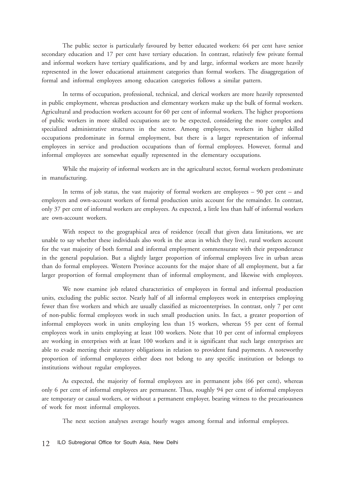The public sector is particularly favoured by better educated workers: 64 per cent have senior secondary education and 17 per cent have tertiary education. In contrast, relatively few private formal and informal workers have tertiary qualifications, and by and large, informal workers are more heavily represented in the lower educational attainment categories than formal workers. The disaggregation of formal and informal employees among education categories follows a similar pattern.

In terms of occupation, professional, technical, and clerical workers are more heavily represented in public employment, whereas production and elementary workers make up the bulk of formal workers. Agricultural and production workers account for 60 per cent of informal workers. The higher proportions of public workers in more skilled occupations are to be expected, considering the more complex and specialized administrative structures in the sector. Among employees, workers in higher skilled occupations predominate in formal employment, but there is a larger representation of informal employees in service and production occupations than of formal employees. However, formal and informal employees are somewhat equally represented in the elementary occupations.

While the majority of informal workers are in the agricultural sector, formal workers predominate in manufacturing.

In terms of job status, the vast majority of formal workers are employees – 90 per cent – and employers and own-account workers of formal production units account for the remainder. In contrast, only 37 per cent of informal workers are employees. As expected, a little less than half of informal workers are own-account workers.

With respect to the geographical area of residence (recall that given data limitations, we are unable to say whether these individuals also work in the areas in which they live), rural workers account for the vast majority of both formal and informal employment commensurate with their preponderance in the general population. But a slightly larger proportion of informal employees live in urban areas than do formal employees. Western Province accounts for the major share of all employment, but a far larger proportion of formal employment than of informal employment, and likewise with employees.

We now examine job related characteristics of employees in formal and informal production units, excluding the public sector. Nearly half of all informal employees work in enterprises employing fewer than five workers and which are usually classified as microenterprises. In contrast, only 7 per cent of non-public formal employees work in such small production units. In fact, a greater proportion of informal employees work in units employing less than 15 workers, whereas 55 per cent of formal employees work in units employing at least 100 workers. Note that 10 per cent of informal employees are working in enterprises with at least 100 workers and it is significant that such large enterprises are able to evade meeting their statutory obligations in relation to provident fund payments. A noteworthy proportion of informal employees either does not belong to any specific institution or belongs to institutions without regular employees.

As expected, the majority of formal employees are in permanent jobs (66 per cent), whereas only 6 per cent of informal employees are permanent. Thus, roughly 94 per cent of informal employees are temporary or casual workers, or without a permanent employer, bearing witness to the precariousness of work for most informal employees.

The next section analyses average hourly wages among formal and informal employees.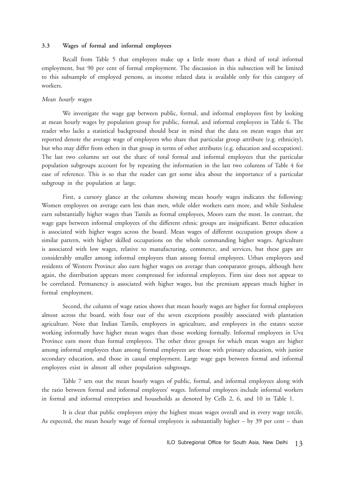#### **3.3 Wages of formal and informal employees**

Recall from Table 5 that employees make up a little more than a third of total informal employment, but 90 per cent of formal employment. The discussion in this subsection will be limited to this subsample of employed persons, as income related data is available only for this category of workers.

#### Mean hourly wages

We investigate the wage gap between public, formal, and informal employees first by looking at mean hourly wages by population group for public, formal, and informal employees in Table 6. The reader who lacks a statistical background should bear in mind that the data on mean wages that are reported denote the average wage of employees who share that particular group attribute (e.g. ethnicity), but who may differ from others in that group in terms of other attributes (e.g. education and occupation). The last two columns set out the share of total formal and informal employees that the particular population subgroups account for by repeating the information in the last two columns of Table 4 for ease of reference. This is so that the reader can get some idea about the importance of a particular subgroup in the population at large.

First, a cursory glance at the columns showing mean hourly wages indicates the following: Women employees on average earn less than men, while older workers earn more, and while Sinhalese earn substantially higher wages than Tamils as formal employees, Moors earn the most. In contrast, the wage gaps between informal employees of the different ethnic groups are insignificant. Better education is associated with higher wages across the board. Mean wages of different occupation groups show a similar pattern, with higher skilled occupations on the whole commanding higher wages. Agriculture is associated with low wages, relative to manufacturing, commerce, and services, but these gaps are considerably smaller among informal employees than among formal employees. Urban employees and residents of Western Province also earn higher wages on average than comparator groups, although here again, the distribution appears more compressed for informal employees. Firm size does not appear to be correlated. Permanency is associated with higher wages, but the premium appears much higher in formal employment.

Second, the column of wage ratios shows that mean hourly wages are higher for formal employees almost across the board, with four out of the seven exceptions possibly associated with plantation agriculture. Note that Indian Tamils, employees in agriculture, and employees in the estates sector working informally have higher mean wages than those working formally. Informal employees in Uva Province earn more than formal employees. The other three groups for which mean wages are higher among informal employees than among formal employees are those with primary education, with junior secondary education, and those in casual employment. Large wage gaps between formal and informal employees exist in almost all other population subgroups.

Table 7 sets out the mean hourly wages of public, formal, and informal employees along with the ratio between formal and informal employees' wages. Informal employees include informal workers in formal and informal enterprises and households as denoted by Cells 2, 6, and 10 in Table 1.

It is clear that public employees enjoy the highest mean wages overall and in every wage tercile. As expected, the mean hourly wage of formal employees is substantially higher – by 39 per cent – than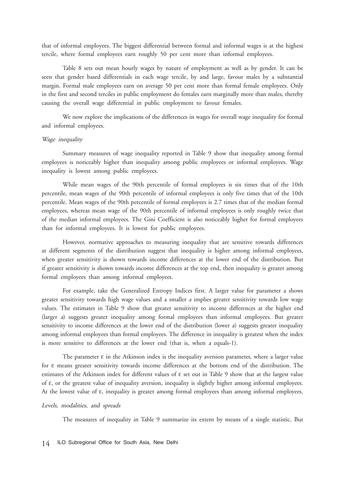that of informal employees. The biggest differential between formal and informal wages is at the highest tercile, where formal employees earn roughly 50 per cent more than informal employees.

Table 8 sets out mean hourly wages by nature of employment as well as by gender. It can be seen that gender based differentials in each wage tercile, by and large, favour males by a substantial margin. Formal male employees earn on average 50 per cent more than formal female employees. Only in the first and second terciles in public employment do females earn marginally more than males, thereby causing the overall wage differential in public employment to favour females.

We now explore the implications of the differences in wages for overall wage inequality for formal and informal employees.

#### Wage inequality

Summary measures of wage inequality reported in Table 9 show that inequality among formal employees is noticeably higher than inequality among public employees or informal employees. Wage inequality is lowest among public employees.

While mean wages of the 90th percentile of formal employees is six times that of the 10th percentile, mean wages of the 90th percentile of informal employees is only five times that of the 10th percentile. Mean wages of the 90th percentile of formal employees is 2.7 times that of the median formal employees, whereas mean wage of the 90th percentile of informal employees is only roughly twice that of the median informal employees. The Gini Coefficient is also noticeably higher for formal employees than for informal employees. It is lowest for public employees.

However, normative approaches to measuring inequality that are sensitive towards differences at different segments of the distribution suggest that inequality is higher among informal employees, when greater sensitivity is shown towards income differences at the lower end of the distribution. But if greater sensitivity is shown towards income differences at the top end, then inequality is greater among formal employees than among informal employees.

For example, take the Generalized Entropy Indices first. A larger value for parameter a shows greater sensitivity towards high wage values and a smaller a implies greater sensitivity towards low wage values. The estimates in Table 9 show that greater sensitivity to income differences at the higher end (larger a) suggests greater inequality among formal employees than informal employees. But greater sensitivity to income differences at the lower end of the distribution (lower a) suggests greater inequality among informal employees than formal employees. The difference in inequality is greatest when the index is more sensitive to differences at the lower end (that is, when a equals-1).

The parameter  $\varepsilon$  in the Atkinson index is the inequality aversion parameter, where a larger value for ε means greater sensitivity towards income differences at the bottom end of the distribution. The estimates of the Atkinson index for different values of ε set out in Table 9 show that at the largest value of ε, or the greatest value of inequality aversion, inequality is slightly higher among informal employees. At the lowest value of ε, inequality is greater among formal employees than among informal employees.

#### Levels, modalities, and spreads

The measures of inequality in Table 9 summarize its extent by means of a single statistic. But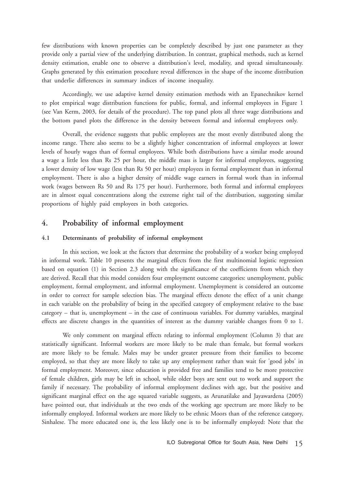few distributions with known properties can be completely described by just one parameter as they provide only a partial view of the underlying distribution. In contrast, graphical methods, such as kernel density estimation, enable one to observe a distribution's level, modality, and spread simultaneously. Graphs generated by this estimation procedure reveal differences in the shape of the income distribution that underlie differences in summary indices of income inequality.

Accordingly, we use adaptive kernel density estimation methods with an Epanechnikov kernel to plot empirical wage distribution functions for public, formal, and informal employees in Figure 1 (see Van Kerm, 2003, for details of the procedure). The top panel plots all three wage distributions and the bottom panel plots the difference in the density between formal and informal employees only.

Overall, the evidence suggests that public employees are the most evenly distributed along the income range. There also seems to be a slightly higher concentration of informal employees at lower levels of hourly wages than of formal employees. While both distributions have a similar mode around a wage a little less than Rs 25 per hour, the middle mass is larger for informal employees, suggesting a lower density of low wage (less than Rs 50 per hour) employees in formal employment than in informal employment. There is also a higher density of middle wage earners in formal work than in informal work (wages between Rs 50 and Rs 175 per hour). Furthermore, both formal and informal employees are in almost equal concentrations along the extreme right tail of the distribution, suggesting similar proportions of highly paid employees in both categories.

### **4. Probability of informal employment**

#### **4.1 Determinants of probability of informal employment**

In this section, we look at the factors that determine the probability of a worker being employed in informal work. Table 10 presents the marginal effects from the first multinomial logistic regression based on equation (1) in Section 2.3 along with the significance of the coefficients from which they are derived. Recall that this model considers four employment outcome categories: unemployment, public employment, formal employment, and informal employment. Unemployment is considered an outcome in order to correct for sample selection bias. The marginal effects denote the effect of a unit change in each variable on the probability of being in the specified category of employment relative to the base category – that is, unemployment – in the case of continuous variables. For dummy variables, marginal effects are discrete changes in the quantities of interest as the dummy variable changes from 0 to 1.

We only comment on marginal effects relating to informal employment (Column 3) that are statistically significant. Informal workers are more likely to be male than female, but formal workers are more likely to be female. Males may be under greater pressure from their families to become employed, so that they are more likely to take up any employment rather than wait for 'good jobs' in formal employment. Moreover, since education is provided free and families tend to be more protective of female children, girls may be left in school, while older boys are sent out to work and support the family if necessary. The probability of informal employment declines with age, but the positive and significant marginal effect on the age squared variable suggests, as Arunatilake and Jayawardena (2005) have pointed out, that individuals at the two ends of the working age spectrum are more likely to be informally employed. Informal workers are more likely to be ethnic Moors than of the reference category, Sinhalese. The more educated one is, the less likely one is to be informally employed: Note that the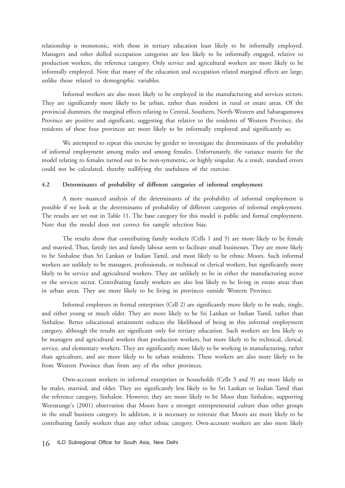relationship is monotonic, with those in tertiary education least likely to be informally employed. Managers and other skilled occupation categories are less likely to be informally engaged, relative to production workers, the reference category. Only service and agricultural workers are more likely to be informally employed. Note that many of the education and occupation related marginal effects are large, unlike those related to demographic variables.

Informal workers are also more likely to be employed in the manufacturing and services sectors. They are significantly more likely to be urban, rather than resident in rural or estate areas. Of the provincial dummies, the marginal effects relating to Central, Southern, North-Western and Sabaragamuwa Province are positive and significant, suggesting that relative to the residents of Western Province, the residents of these four provinces are more likely to be informally employed and significantly so.

We attempted to repeat this exercise by gender to investigate the determinants of the probability of informal employment among males and among females. Unfortunately, the variance matrix for the model relating to females turned out to be non-symmetric, or highly singular. As a result, standard errors could not be calculated, thereby nullifying the usefulness of the exercise.

#### **4.2 Determinants of probability of different categories of informal employment**

A more nuanced analysis of the determinants of the probability of informal employment is possible if we look at the determinants of probability of different categories of informal employment. The results are set out in Table 11. The base category for this model is public and formal employment. Note that the model does not correct for sample selection bias.

The results show that contributing family workers (Cells 1 and 5) are more likely to be female and married. Thus, family ties and family labour seem to facilitate small businesses. They are more likely to be Sinhalese than Sri Lankan or Indian Tamil, and most likely to be ethnic Moors. Such informal workers are unlikely to be managers, professionals, or technical or clerical workers, but significantly more likely to be service and agricultural workers. They are unlikely to be in either the manufacturing sector or the services sector. Contributing family workers are also less likely to be living in estate areas than in urban areas. They are more likely to be living in provinces outside Western Province.

Informal employees in formal enterprises (Cell 2) are significantly more likely to be male, single, and either young or much older. They are more likely to be Sri Lankan or Indian Tamil, rather than Sinhalese. Better educational attainment reduces the likelihood of being in this informal employment category, although the results are significant only for tertiary education. Such workers are less likely to be managers and agricultural workers than production workers, but more likely to be technical, clerical, service, and elementary workers. They are significantly more likely to be working in manufacturing, rather than agriculture, and are more likely to be urban residents. These workers are also more likely to be from Western Province than from any of the other provinces.

Own-account workers in informal enterprises or households (Cells 3 and 9) are more likely to be males, married, and older. They are significantly less likely to be Sri Lankan or Indian Tamil than the reference category, Sinhalese. However, they are more likely to be Moor than Sinhalese, supporting Weeratunge's (2001) observation that Moors have a stronger entrepreneurial culture than other groups in the small business category. In addition, it is necessary to reiterate that Moors are more likely to be contributing family workers than any other ethnic category. Own-account workers are also more likely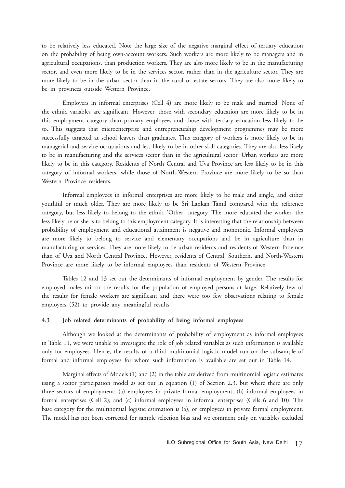to be relatively less educated. Note the large size of the negative marginal effect of tertiary education on the probability of being own-account workers. Such workers are more likely to be managers and in agricultural occupations, than production workers. They are also more likely to be in the manufacturing sector, and even more likely to be in the services sector, rather than in the agriculture sector. They are more likely to be in the urban sector than in the rural or estate sectors. They are also more likely to be in provinces outside Western Province.

Employers in informal enterprises (Cell 4) are more likely to be male and married. None of the ethnic variables are significant. However, those with secondary education are more likely to be in this employment category than primary employees and those with tertiary education less likely to be so. This suggests that microenterprise and entrepreneurship development programmes may be more successfully targeted at school leavers than graduates. This category of workers is more likely to be in managerial and service occupations and less likely to be in other skill categories. They are also less likely to be in manufacturing and the services sector than in the agricultural sector. Urban workers are more likely to be in this category. Residents of North Central and Uva Province are less likely to be in this category of informal workers, while those of North-Western Province are more likely to be so than Western Province residents.

Informal employees in informal enterprises are more likely to be male and single, and either youthful or much older. They are more likely to be Sri Lankan Tamil compared with the reference category, but less likely to belong to the ethnic 'Other' category. The more educated the worker, the less likely he or she is to belong to this employment category. It is interesting that the relationship between probability of employment and educational attainment is negative and monotonic. Informal employees are more likely to belong to service and elementary occupations and be in agriculture than in manufacturing or services. They are more likely to be urban residents and residents of Western Province than of Uva and North Central Province. However, residents of Central, Southern, and North-Western Province are more likely to be informal employees than residents of Western Province.

Tables 12 and 13 set out the determinants of informal employment by gender. The results for employed males mirror the results for the population of employed persons at large. Relatively few of the results for female workers are significant and there were too few observations relating to female employers (52) to provide any meaningful results.

#### **4.3 Job related determinants of probability of being informal employees**

Although we looked at the determinants of probability of employment as informal employees in Table 11, we were unable to investigate the role of job related variables as such information is available only for employees. Hence, the results of a third multinomial logistic model run on the subsample of formal and informal employees for whom such information is available are set out in Table 14.

Marginal effects of Models (1) and (2) in the table are derived from multinomial logistic estimates using a sector participation model as set out in equation (1) of Section 2.3, but where there are only three sectors of employment: (a) employees in private formal employment; (b) informal employees in formal enterprises (Cell 2); and (c) informal employees in informal enterprises (Cells 6 and 10). The base category for the multinomial logistic estimation is (a), or employees in private formal employment. The model has not been corrected for sample selection bias and we comment only on variables excluded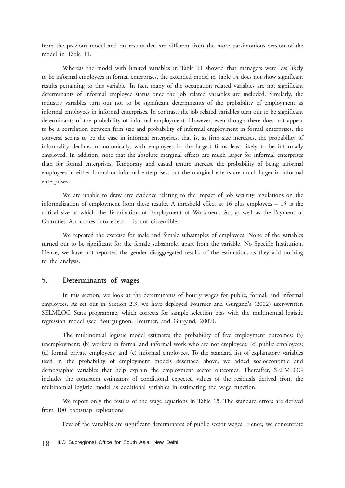from the previous model and on results that are different from the more parsimonious version of the model in Table 11.

Whereas the model with limited variables in Table 11 showed that managers were less likely to be informal employees in formal enterprises, the extended model in Table 14 does not show significant results pertaining to this variable. In fact, many of the occupation related variables are not significant determinants of informal employee status once the job related variables are included. Similarly, the industry variables turn out not to be significant determinants of the probability of employment as informal employees in informal enterprises. In contrast, the job related variables turn out to be significant determinants of the probability of informal employment. However, even though there does not appear to be a correlation between firm size and probability of informal employment in formal enterprises, the converse seems to be the case in informal enterprises, that is, as firm size increases, the probability of informality declines monotonically, with employees in the largest firms least likely to be informally employed. In addition, note that the absolute marginal effects are much larger for informal enterprises than for formal enterprises. Temporary and casual tenure increase the probability of being informal employees in either formal or informal enterprises, but the marginal effects are much larger in informal enterprises.

We are unable to draw any evidence relating to the impact of job security regulations on the informalization of employment from these results. A threshold effect at 16 plus employees – 15 is the critical size at which the Termination of Employment of Workmen's Act as well as the Payment of Gratuities Act comes into effect – is not discernible.

We repeated the exercise for male and female subsamples of employees. None of the variables turned out to be significant for the female subsample, apart from the variable, No Specific Institution. Hence, we have not reported the gender disaggregated results of the estimation, as they add nothing to the analysis.

#### **5. Determinants of wages**

In this section, we look at the determinants of hourly wages for public, formal, and informal employees. As set out in Section 2.3, we have deployed Fournier and Gurgand's (2002) user-written SELMLOG Stata programme, which corrects for sample selection bias with the multinomial logistic regression model (see Bourguignon, Fournier, and Gurgand, 2007).

The multinomial logistic model estimates the probability of five employment outcomes: (a) unemployment; (b) workers in formal and informal work who are not employees; (c) public employees; (d) formal private employees; and (e) informal employees. To the standard list of explanatory variables used in the probability of employment models described above, we added socioeconomic and demographic variables that help explain the employment sector outcomes. Thereafter, SELMLOG includes the consistent estimators of conditional expected values of the residuals derived from the multinomial logistic model as additional variables in estimating the wage function.

We report only the results of the wage equations in Table 15. The standard errors are derived from 100 bootstrap replications.

Few of the variables are significant determinants of public sector wages. Hence, we concentrate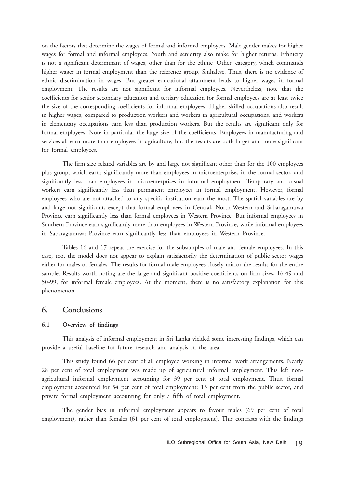on the factors that determine the wages of formal and informal employees. Male gender makes for higher wages for formal and informal employees. Youth and seniority also make for higher returns. Ethnicity is not a significant determinant of wages, other than for the ethnic 'Other' category, which commands higher wages in formal employment than the reference group, Sinhalese. Thus, there is no evidence of ethnic discrimination in wages. But greater educational attainment leads to higher wages in formal employment. The results are not significant for informal employees. Nevertheless, note that the coefficients for senior secondary education and tertiary education for formal employees are at least twice the size of the corresponding coefficients for informal employees. Higher skilled occupations also result in higher wages, compared to production workers and workers in agricultural occupations, and workers in elementary occupations earn less than production workers. But the results are significant only for formal employees. Note in particular the large size of the coefficients. Employees in manufacturing and services all earn more than employees in agriculture, but the results are both larger and more significant for formal employees.

The firm size related variables are by and large not significant other than for the 100 employees plus group, which earns significantly more than employees in microenterprises in the formal sector, and significantly less than employees in microenterprises in informal employment. Temporary and casual workers earn significantly less than permanent employees in formal employment. However, formal employees who are not attached to any specific institution earn the most. The spatial variables are by and large not significant, except that formal employees in Central, North-Western and Sabaragamuwa Province earn significantly less than formal employees in Western Province. But informal employees in Southern Province earn significantly more than employees in Western Province, while informal employees in Sabaragamuwa Province earn significantly less than employees in Western Province.

Tables 16 and 17 repeat the exercise for the subsamples of male and female employees. In this case, too, the model does not appear to explain satisfactorily the determination of public sector wages either for males or females. The results for formal male employees closely mirror the results for the entire sample. Results worth noting are the large and significant positive coefficients on firm sizes, 16-49 and 50-99, for informal female employees. At the moment, there is no satisfactory explanation for this phenomenon.

### **6. Conclusions**

#### **6.1 Overview of findings**

This analysis of informal employment in Sri Lanka yielded some interesting findings, which can provide a useful baseline for future research and analysis in the area.

This study found 66 per cent of all employed working in informal work arrangements. Nearly 28 per cent of total employment was made up of agricultural informal employment. This left nonagricultural informal employment accounting for 39 per cent of total employment. Thus, formal employment accounted for 34 per cent of total employment: 13 per cent from the public sector, and private formal employment accounting for only a fifth of total employment.

The gender bias in informal employment appears to favour males (69 per cent of total employment), rather than females (61 per cent of total employment). This contrasts with the findings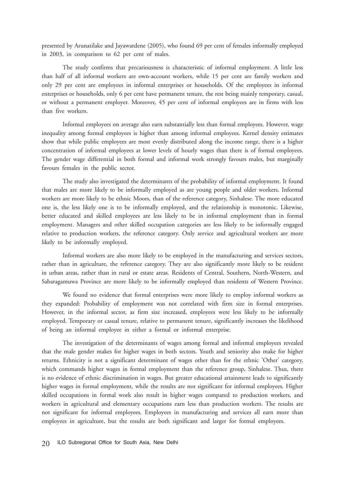presented by Arunatilake and Jayawardene (2005), who found 69 per cent of females informally employed in 2003, in comparison to 62 per cent of males.

The study confirms that precariousness is characteristic of informal employment. A little less than half of all informal workers are own-account workers, while 15 per cent are family workers and only 29 per cent are employees in informal enterprises or households. Of the employees in informal enterprises or households, only 6 per cent have permanent tenure, the rest being mainly temporary, casual, or without a permanent employer. Moreover, 45 per cent of informal employees are in firms with less than five workers.

Informal employees on average also earn substantially less than formal employees. However, wage inequality among formal employees is higher than among informal employees. Kernel density estimates show that while public employees are most evenly distributed along the income range, there is a higher concentration of informal employees at lower levels of hourly wages than there is of formal employees. The gender wage differential in both formal and informal work strongly favours males, but marginally favours females in the public sector.

The study also investigated the determinants of the probability of informal employment. It found that males are more likely to be informally employed as are young people and older workers. Informal workers are more likely to be ethnic Moors, than of the reference category, Sinhalese. The more educated one is, the less likely one is to be informally employed, and the relationship is monotonic. Likewise, better educated and skilled employees are less likely to be in informal employment than in formal employment. Managers and other skilled occupation categories are less likely to be informally engaged relative to production workers, the reference category. Only service and agricultural workers are more likely to be informally employed.

Informal workers are also more likely to be employed in the manufacturing and services sectors, rather than in agriculture, the reference category. They are also significantly more likely to be resident in urban areas, rather than in rural or estate areas. Residents of Central, Southern, North-Western, and Sabaragamuwa Province are more likely to be informally employed than residents of Western Province.

We found no evidence that formal enterprises were more likely to employ informal workers as they expanded: Probability of employment was not correlated with firm size in formal enterprises. However, in the informal sector, as firm size increased, employees were less likely to be informally employed. Temporary or casual tenure, relative to permanent tenure, significantly increases the likelihood of being an informal employee in either a formal or informal enterprise.

The investigation of the determinants of wages among formal and informal employees revealed that the male gender makes for higher wages in both sectors. Youth and seniority also make for higher returns. Ethnicity is not a significant determinant of wages other than for the ethnic 'Other' category, which commands higher wages in formal employment than the reference group, Sinhalese. Thus, there is no evidence of ethnic discrimination in wages. But greater educational attainment leads to significantly higher wages in formal employment, while the results are not significant for informal employees. Higher skilled occupations in formal work also result in higher wages compared to production workers, and workers in agricultural and elementary occupations earn less than production workers. The results are not significant for informal employees. Employees in manufacturing and services all earn more than employees in agriculture, but the results are both significant and larger for formal employees.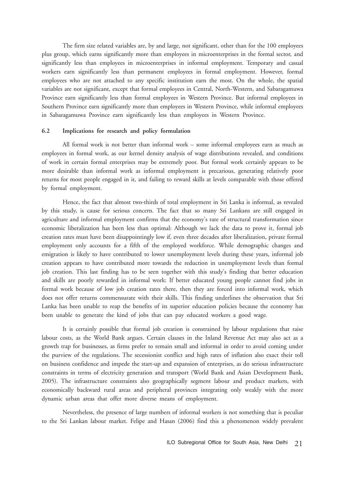The firm size related variables are, by and large, not significant, other than for the 100 employees plus group, which earns significantly more than employees in microenterprises in the formal sector, and significantly less than employees in microenterprises in informal employment. Temporary and casual workers earn significantly less than permanent employees in formal employment. However, formal employees who are not attached to any specific institution earn the most. On the whole, the spatial variables are not significant, except that formal employees in Central, North-Western, and Sabaragamuwa Province earn significantly less than formal employees in Western Province. But informal employees in Southern Province earn significantly more than employees in Western Province, while informal employees in Sabaragamuwa Province earn significantly less than employees in Western Province.

#### **6.2 Implications for research and policy formulation**

All formal work is not better than informal work – some informal employees earn as much as employees in formal work, as our kernel density analysis of wage distributions revealed, and conditions of work in certain formal enterprises may be extremely poor. But formal work certainly appears to be more desirable than informal work as informal employment is precarious, generating relatively poor returns for most people engaged in it, and failing to reward skills at levels comparable with those offered by formal employment.

Hence, the fact that almost two-thirds of total employment in Sri Lanka is informal, as revealed by this study, is cause for serious concern. The fact that so many Sri Lankans are still engaged in agriculture and informal employment confirms that the economy's rate of structural transformation since economic liberalization has been less than optimal: Although we lack the data to prove it, formal job creation rates must have been disappointingly low if, even three decades after liberalization, private formal employment only accounts for a fifth of the employed workforce. While demographic changes and emigration is likely to have contributed to lower unemployment levels during these years, informal job creation appears to have contributed more towards the reduction in unemployment levels than formal job creation. This last finding has to be seen together with this study's finding that better education and skills are poorly rewarded in informal work: If better educated young people cannot find jobs in formal work because of low job creation rates there, then they are forced into informal work, which does not offer returns commensurate with their skills. This finding underlines the observation that Sri Lanka has been unable to reap the benefits of its superior education policies because the economy has been unable to generate the kind of jobs that can pay educated workers a good wage.

It is certainly possible that formal job creation is constrained by labour regulations that raise labour costs, as the World Bank argues. Certain clauses in the Inland Revenue Act may also act as a growth trap for businesses, as firms prefer to remain small and informal in order to avoid coming under the purview of the regulations. The secessionist conflict and high rates of inflation also exact their toll on business confidence and impede the start-up and expansion of enterprises, as do serious infrastructure constraints in terms of electricity generation and transport (World Bank and Asian Development Bank, 2005). The infrastructure constraints also geographically segment labour and product markets, with economically backward rural areas and peripheral provinces integrating only weakly with the more dynamic urban areas that offer more diverse means of employment.

Nevertheless, the presence of large numbers of informal workers is not something that is peculiar to the Sri Lankan labour market. Felipe and Hasan (2006) find this a phenomenon widely prevalent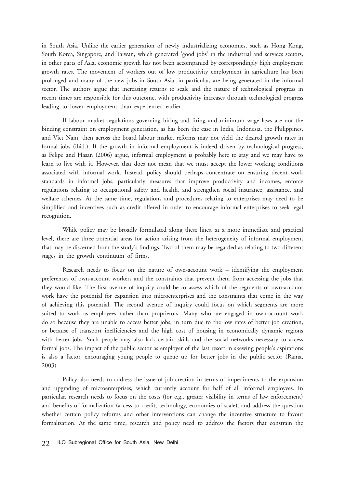in South Asia. Unlike the earlier generation of newly industrializing economies, such as Hong Kong, South Korea, Singapore, and Taiwan, which generated 'good jobs' in the industrial and services sectors, in other parts of Asia, economic growth has not been accompanied by correspondingly high employment growth rates. The movement of workers out of low productivity employment in agriculture has been prolonged and many of the new jobs in South Asia, in particular, are being generated in the informal sector. The authors argue that increasing returns to scale and the nature of technological progress in recent times are responsible for this outcome, with productivity increases through technological progress leading to lower employment than experienced earlier.

If labour market regulations governing hiring and firing and minimum wage laws are not the binding constraint on employment generation, as has been the case in India, Indonesia, the Philippines, and Viet Nam, then across the board labour market reforms may not yield the desired growth rates in formal jobs (ibid.). If the growth in informal employment is indeed driven by technological progress, as Felipe and Hasan (2006) argue, informal employment is probably here to stay and we may have to learn to live with it. However, that does not mean that we must accept the lower working conditions associated with informal work. Instead, policy should perhaps concentrate on ensuring decent work standards in informal jobs, particularly measures that improve productivity and incomes, enforce regulations relating to occupational safety and health, and strengthen social insurance, assistance, and welfare schemes. At the same time, regulations and procedures relating to enterprises may need to be simplified and incentives such as credit offered in order to encourage informal enterprises to seek legal recognition.

While policy may be broadly formulated along these lines, at a more immediate and practical level, there are three potential areas for action arising from the heterogeneity of informal employment that may be discerned from the study's findings. Two of them may be regarded as relating to two different stages in the growth continuum of firms.

Research needs to focus on the nature of own-account work – identifying the employment preferences of own-account workers and the constraints that prevent them from accessing the jobs that they would like. The first avenue of inquiry could be to assess which of the segments of own-account work have the potential for expansion into microenterprises and the constraints that come in the way of achieving this potential. The second avenue of inquiry could focus on which segments are more suited to work as employees rather than proprietors. Many who are engaged in own-account work do so because they are unable to access better jobs, in turn due to the low rates of better job creation, or because of transport inefficiencies and the high cost of housing in economically dynamic regions with better jobs. Such people may also lack certain skills and the social networks necessary to access formal jobs. The impact of the public sector as employer of the last resort in skewing people's aspirations is also a factor, encouraging young people to queue up for better jobs in the public sector (Rama, 2003).

Policy also needs to address the issue of job creation in terms of impediments to the expansion and upgrading of microenterprises, which currently account for half of all informal employees. In particular, research needs to focus on the costs (for e.g., greater visibility in terms of law enforcement) and benefits of formalization (access to credit, technology, economies of scale), and address the question whether certain policy reforms and other interventions can change the incentive structure to favour formalization. At the same time, research and policy need to address the factors that constrain the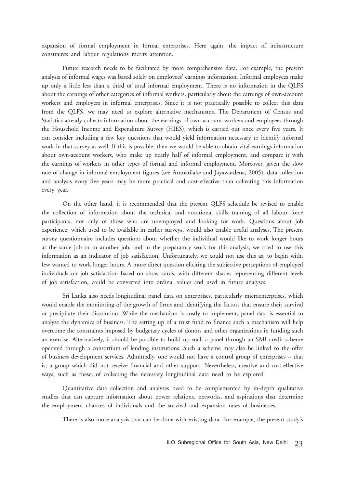expansion of formal employment in formal enterprises. Here again, the impact of infrastructure constraints and labour regulations merits attention.

Future research needs to be facilitated by more comprehensive data. For example, the present analysis of informal wages was based solely on employees' earnings information. Informal employees make up only a little less than a third of total informal employment. There is no information in the QLFS about the earnings of other categories of informal workers, particularly about the earnings of own-account workers and employers in informal enterprises. Since it is not practically possible to collect this data from the QLFS, we may need to explore alternative mechanisms. The Department of Census and Statistics already collects information about the earnings of own-account workers and employees through the Household Income and Expenditure Survey (HIES), which is carried out once every five years. It can consider including a few key questions that would yield information necessary to identify informal work in that survey as well. If this is possible, then we would be able to obtain vital earnings information about own-account workers, who make up nearly half of informal employment, and compare it with the earnings of workers in other types of formal and informal employment. Moreover, given the slow rate of change in informal employment figures (see Arunatilake and Jayawardena, 2005), data collection and analysis every five years may be more practical and cost-effective than collecting this information every year.

On the other hand, it is recommended that the present QLFS schedule be revised to enable the collection of information about the technical and vocational skills training of all labour force participants, not only of those who are unemployed and looking for work. Questions about job experience, which used to be available in earlier surveys, would also enable useful analyses. The present survey questionnaire includes questions about whether the individual would like to work longer hours at the same job or in another job, and in the preparatory work for this analysis, we tried to use this information as an indicator of job satisfaction. Unfortunately, we could not use this as, to begin with, few wanted to work longer hours. A more direct question eliciting the subjective perceptions of employed individuals on job satisfaction based on show cards, with different shades representing different levels of job satisfaction, could be converted into ordinal values and used in future analyses.

Sri Lanka also needs longitudinal panel data on enterprises, particularly microenterprises, which would enable the monitoring of the growth of firms and identifying the factors that ensure their survival or precipitate their dissolution. While the mechanism is costly to implement, panel data is essential to analyse the dynamics of business. The setting up of a trust fund to finance such a mechanism will help overcome the constraints imposed by budgetary cycles of donors and other organizations in funding such an exercise. Alternatively, it should be possible to build up such a panel through an SMI credit scheme operated through a consortium of lending institutions. Such a scheme may also be linked to the offer of business development services. Admittedly, one would not have a control group of enterprises – that is, a group which did not receive financial and other support. Nevertheless, creative and cost-effective ways, such as these, of collecting the necessary longitudinal data need to be explored

Quantitative data collection and analyses need to be complemented by in-depth qualitative studies that can capture information about power relations, networks, and aspirations that determine the employment chances of individuals and the survival and expansion rates of businesses.

There is also more analysis that can be done with existing data. For example, the present study's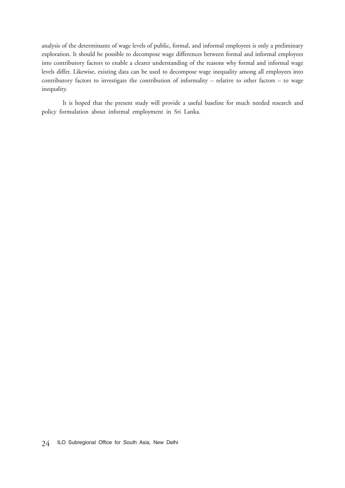analysis of the determinants of wage levels of public, formal, and informal employees is only a preliminary exploration. It should be possible to decompose wage differences between formal and informal employees into contributory factors to enable a clearer understanding of the reasons why formal and informal wage levels differ. Likewise, existing data can be used to decompose wage inequality among all employees into contributory factors to investigate the contribution of informality – relative to other factors – to wage inequality.

It is hoped that the present study will provide a useful baseline for much needed research and policy formulation about informal employment in Sri Lanka.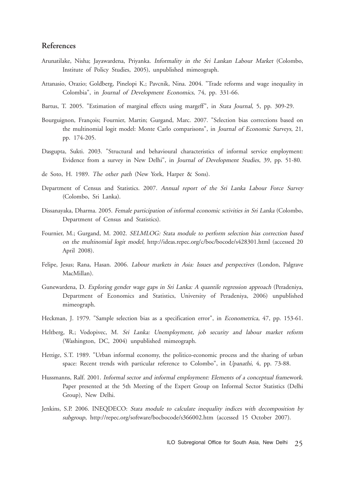### **References**

- Arunatilake, Nisha; Jayawardena, Priyanka. Informality in the Sri Lankan Labour Market (Colombo, Institute of Policy Studies, 2005), unpublished mimeograph.
- Attanasio, Orazio; Goldberg, Pinelopi K.; Pavcnik, Nina. 2004. "Trade reforms and wage inequality in Colombia", in Journal of Development Economics, 74, pp. 331-66.
- Bartus, T. 2005. "Estimation of marginal effects using margeff", in Stata Journal, 5, pp. 309-29.
- Bourguignon, François; Fournier, Martin; Gurgand, Marc. 2007. "Selection bias corrections based on the multinomial logit model: Monte Carlo comparisons", in Journal of Economic Surveys, 21, pp. 174-205.
- Dasgupta, Sukti. 2003. "Structural and behavioural characteristics of informal service employment: Evidence from a survey in New Delhi", in Journal of Development Studies, 39, pp. 51-80.
- de Soto, H. 1989. The other path (New York, Harper & Sons).
- Department of Census and Statistics. 2007. Annual report of the Sri Lanka Labour Force Survey (Colombo, Sri Lanka).
- Dissanayaka, Dharma. 2005. Female participation of informal economic sctivities in Sri Lanka (Colombo, Department of Census and Statistics).
- Fournier, M.; Gurgand, M. 2002. SELMLOG: Stata module to perform selection bias correction based on the multinomial logit model, http://ideas.repec.org/c/boc/bocode/s428301.html (accessed 20 April 2008).
- Felipe, Jesus; Rana, Hasan. 2006. Labour markets in Asia: Issues and perspectives (London, Palgrave MacMillan).
- Gunewardena, D. Exploring gender wage gaps in Sri Lanka: A quantile regression approach (Peradeniya, Department of Economics and Statistics, University of Peradeniya, 2006) unpublished mimeograph.
- Heckman, J. 1979. "Sample selection bias as a specification error", in Econometrica, 47, pp. 153-61.
- Heltberg, R.; Vodopivec, M. Sri Lanka: Unemployment, job security and labour market reform (Washington, DC, 2004) unpublished mimeograph.
- Hettige, S.T. 1989. "Urban informal economy, the politico-economic process and the sharing of urban space: Recent trends with particular reference to Colombo", in Upanathi, 4, pp. 73-88.
- Hussmanns, Ralf. 2001. Informal sector and informal employment: Elements of a conceptual framework. Paper presented at the 5th Meeting of the Expert Group on Informal Sector Statistics (Delhi Group), New Delhi.
- Jenkins, S.P. 2006. INEQDECO: Stata module to calculate inequality indices with decomposition by subgroup, http://repec.org/software/bocbocode/s366002.htm (accessed 15 October 2007).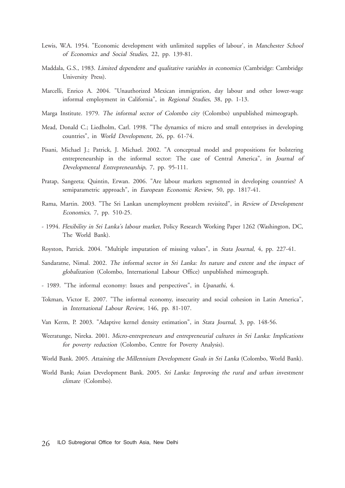- Lewis, W.A. 1954. "Economic development with unlimited supplies of labour', in Manchester School of Economics and Social Studies, 22, pp. 139-81.
- Maddala, G.S., 1983. Limited dependent and qualitative variables in economics (Cambridge: Cambridge University Press).
- Marcelli, Enrico A. 2004. "Unauthorized Mexican immigration, day labour and other lower-wage informal employment in California", in Regional Studies, 38, pp. 1-13.
- Marga Institute. 1979. The informal sector of Colombo city (Colombo) unpublished mimeograph.
- Mead, Donald C.; Liedholm, Carl. 1998. "The dynamics of micro and small enterprises in developing countries", in World Development, 26, pp. 61-74.
- Pisani, Michael J.; Patrick, J. Michael. 2002. "A conceptual model and propositions for bolstering entrepreneurship in the informal sector: The case of Central America", in Journal of Developmental Entrepreneurship, 7, pp. 95-111.
- Pratap, Sangeeta; Quintin, Erwan. 2006. "Are labour markets segmented in developing countries? A semiparametric approach", in European Economic Review, 50, pp. 1817-41.
- Rama, Martin. 2003. "The Sri Lankan unemployment problem revisited", in Review of Development Economics, 7, pp. 510-25.
- 1994. Flexibility in Sri Lanka's labour market, Policy Research Working Paper 1262 (Washington, DC, The World Bank).
- Royston, Patrick. 2004. "Multiple imputation of missing values", in Stata Journal, 4, pp. 227-41.
- Sandaratne, Nimal. 2002. The informal sector in Sri Lanka: Its nature and extent and the impact of globalization (Colombo, International Labour Office) unpublished mimeograph.
- 1989. "The informal economy: Issues and perspectives", in Upanathi, 4.
- Tokman, Victor E. 2007. "The informal economy, insecurity and social cohesion in Latin America", in International Labour Review, 146, pp. 81-107.
- Van Kerm, P. 2003. "Adaptive kernel density estimation", in Stata Journal, 3, pp. 148-56.
- Weeratunge, Nireka. 2001. Micro-entrepreneurs and entrepreneurial cultures in Sri Lanka: Implications for poverty reduction (Colombo, Centre for Poverty Analysis).
- World Bank. 2005. Attaining the Millennium Development Goals in Sri Lanka (Colombo, World Bank).
- World Bank; Asian Development Bank. 2005. Sri Lanka: Improving the rural and urban investment climate (Colombo).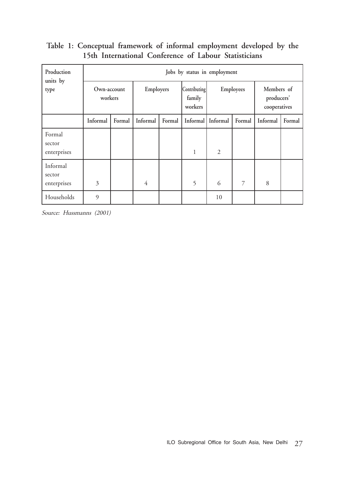## **Table 1: Conceptual framework of informal employment developed by the 15th International Conference of Labour Statisticians**

| Production<br>units by            | Jobs by status in employment |        |           |        |                                          |                     |                |                                          |        |
|-----------------------------------|------------------------------|--------|-----------|--------|------------------------------------------|---------------------|----------------|------------------------------------------|--------|
| type                              | Own-account<br>workers       |        | Employers |        | <b>Contributing</b><br>family<br>workers | Employees           |                | Members of<br>producers'<br>cooperatives |        |
|                                   | Informal                     | Formal | Informal  | Formal |                                          | Informal   Informal | Formal         | Informal                                 | Formal |
| Formal<br>sector<br>enterprises   |                              |        |           |        | $\mathbf{1}$                             | $\overline{2}$      |                |                                          |        |
| Informal<br>sector<br>enterprises | 3                            |        | 4         |        | 5                                        | 6                   | $\overline{7}$ | 8                                        |        |
| Households                        | 9                            |        |           |        |                                          | 10                  |                |                                          |        |

Source: Hussmanns (2001)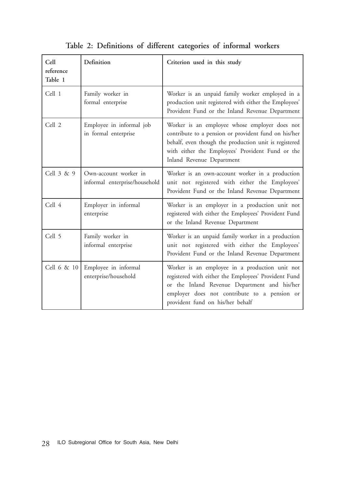| Cell<br>reference<br>Table 1 | Definition                                             | Criterion used in this study                                                                                                                                                                                                                    |
|------------------------------|--------------------------------------------------------|-------------------------------------------------------------------------------------------------------------------------------------------------------------------------------------------------------------------------------------------------|
| Cell 1                       | Family worker in<br>formal enterprise                  | Worker is an unpaid family worker employed in a<br>production unit registered with either the Employees'<br>Provident Fund or the Inland Revenue Department                                                                                     |
| Cell 2                       | Employee in informal job<br>in formal enterprise       | Worker is an employee whose employer does not<br>contribute to a pension or provident fund on his/her<br>behalf, even though the production unit is registered<br>with either the Employees' Provident Fund or the<br>Inland Revenue Department |
| Cell 3 & 9                   | Own-account worker in<br>informal enterprise/household | Worker is an own-account worker in a production<br>unit not registered with either the Employees'<br>Provident Fund or the Inland Revenue Department                                                                                            |
| Cell 4                       | Employer in informal<br>enterprise                     | Worker is an employer in a production unit not<br>registered with either the Employees' Provident Fund<br>or the Inland Revenue Department                                                                                                      |
| Cell 5                       | Family worker in<br>informal enterprise                | Worker is an unpaid family worker in a production<br>unit not registered with either the Employees'<br>Provident Fund or the Inland Revenue Department                                                                                          |
| Cell 6 & 10                  | Employee in informal<br>enterprise/household           | Worker is an employee in a production unit not<br>registered with either the Employees' Provident Fund<br>or the Inland Revenue Department and his/her<br>employer does not contribute to a pension or<br>provident fund on his/her behalf      |

# **Table 2: Definitions of different categories of informal workers**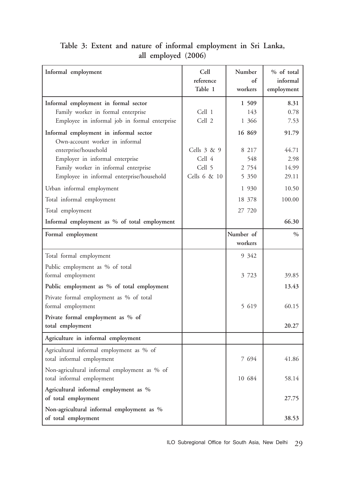| Informal employment                                                                                                                          | Cell<br>reference<br>Table 1                          | Number<br>of<br>workers        | % of total<br>informal<br>employment |
|----------------------------------------------------------------------------------------------------------------------------------------------|-------------------------------------------------------|--------------------------------|--------------------------------------|
| Informal employment in formal sector<br>Family worker in formal enterprise<br>Employee in informal job in formal enterprise                  | Cell 1<br>Cell 2                                      | 1 509<br>143<br>1 366          | 8.31<br>0.78<br>7.53                 |
| Informal employment in informal sector<br>Own-account worker in informal                                                                     |                                                       | 16 869                         | 91.79                                |
| enterprise/household<br>Employer in informal enterprise<br>Family worker in informal enterprise<br>Employee in informal enterprise/household | Cells $3 & 8 & 9$<br>Cell 4<br>Cell 5<br>Cells 6 & 10 | 8 217<br>548<br>2 754<br>5 350 | 44.71<br>2.98<br>14.99<br>29.11      |
| Urban informal employment                                                                                                                    |                                                       | 1 9 3 0                        | 10.50                                |
| Total informal employment                                                                                                                    |                                                       | 18 378                         | 100.00                               |
| Total employment                                                                                                                             |                                                       | 27 720                         |                                      |
| Informal employment as % of total employment                                                                                                 |                                                       |                                | 66.30                                |
| Formal employment                                                                                                                            |                                                       | Number of<br>workers           | $\frac{0}{0}$                        |
| Total formal employment                                                                                                                      |                                                       | 9 3 4 2                        |                                      |
| Public employment as % of total<br>formal employment                                                                                         |                                                       | 3 7 2 3                        | 39.85                                |
| Public employment as % of total employment                                                                                                   |                                                       |                                | 13.43                                |
| Private formal employment as % of total<br>formal employment                                                                                 |                                                       | 5 619                          | 60.15                                |
| Private formal employment as % of<br>total employment                                                                                        |                                                       |                                | 20.27                                |
| Agriculture in informal employment                                                                                                           |                                                       |                                |                                      |
| Agricultural informal employment as % of<br>total informal employment                                                                        |                                                       | 7 694                          | 41.86                                |
| Non-agricultural informal employment as % of<br>total informal employment                                                                    |                                                       | 10 684                         | 58.14                                |
| Agricultural informal employment as %<br>of total employment                                                                                 |                                                       |                                | 27.75                                |
| Non-agricultural informal employment as %<br>of total employment                                                                             |                                                       |                                | 38.53                                |

## **Table 3: Extent and nature of informal employment in Sri Lanka, all employed (2006)**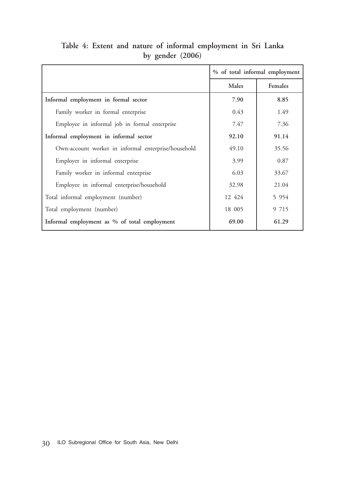## **Table 4: Extent and nature of informal employment in Sri Lanka by gender (2006)**

|                                                     |        | % of total informal employment |
|-----------------------------------------------------|--------|--------------------------------|
|                                                     | Males  | Females                        |
| Informal employment in formal sector                | 7.90   | 8.85                           |
| Family worker in formal enterprise                  | 0.43   | 1.49                           |
| Employee in informal job in formal enterprise       | 7.47   | 7.36                           |
| Informal employment in informal sector              | 92.10  | 91.14                          |
| Own-account worker in informal enterprise/household | 49.10  | 35.56                          |
| Employer in informal enterprise                     | 3.99   | 0.87                           |
| Family worker in informal enterprise                | 6.03   | 33.67                          |
| Employee in informal enterprise/household           | 32.98  | 21.04                          |
| Total informal employment (number)                  | 12 424 | 5 9 5 4                        |
| Total employment (number)                           | 18 005 | 9 7 15                         |
| Informal employment as % of total employment        | 69.00  | 61.29                          |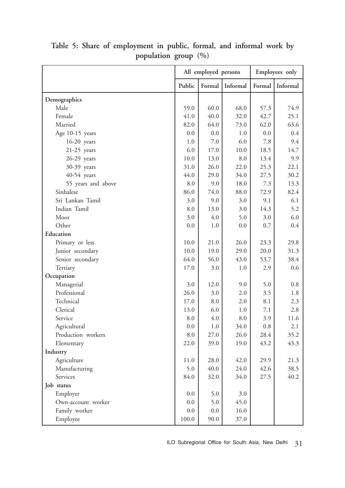|                    | All employed persons |        |          | Employees only |          |
|--------------------|----------------------|--------|----------|----------------|----------|
|                    | Public               | Formal | Informal | Formal         | Informal |
| Demographics       |                      |        |          |                |          |
| Male               | 59.0                 | 60.0   | 68.0     | 57.3           | 74.9     |
| Female             | 41.0                 | 40.0   | 32.0     | 42.7           | 25.1     |
| Married            | 82.0                 | 64.0   | 73.0     | 62.0           | 63.6     |
| Age 10-15 years    | 0.0                  | 0.0    | 1.0      | 0.0            | 0.4      |
| $16-20$ years      | 1.0                  | 7.0    | 6.0      | 7.8            | 9.4      |
| $21-25$ years      | 6.0                  | 17.0   | 10.0     | 18.5           | 14.7     |
| $26-29$ years      | 10.0                 | 13.0   | 8.0      | 13.4           | 9.9      |
| 30-39 years        | 31.0                 | 26.0   | 22.0     | 25.3           | 22.1     |
| 40-54 years        | 44.0                 | 29.0   | 34.0     | 27.5           | 30.2     |
| 55 years and above | 8.0                  | 9.0    | 18.0     | 7.3            | 13.3     |
| Sinhalese          | 86.0                 | 74.0   | 88.0     | 72.9           | 82.4     |
| Sri Lankan Tamil   | 3.0                  | 9.0    | 3.0      | 9.1            | 6.1      |
| Indian Tamil       | 8.0                  | 13.0   | 3.0      | 14.3           | 5.2      |
| Moor               | 3.0                  | 4.0    | 5.0      | 3.0            | 6.0      |
| Other              | 0.0                  | 1.0    | 0.0      | 0.7            | 0.4      |
| Education          |                      |        |          |                |          |
| Primary or less    | 10.0                 | 21.0   | 26.0     | 23.3           | 29.8     |
| Junior secondary   | 10.0                 | 19.0   | 29.0     | 20.0           | 31.3     |
| Senior secondary   | 64.0                 | 56.0   | 43.0     | 53.7           | 38.4     |
| Tertiary           | 17.0                 | 3.0    | 1.0      | 2.9            | 0.6      |
| Occupation         |                      |        |          |                |          |
| Managerial         | 3.0                  | 12.0   | 9.0      | 5.0            | 0.8      |
| Professional       | 26.0                 | 3.0    | 2.0      | 3.5            | 1.8      |
| Technical          | 17.0                 | 8.0    | 2.0      | 8.1            | 2.3      |
| Clerical           | 13.0                 | 6.0    | 1.0      | 7.1            | 2.8      |
| Service            | 8.0                  | 4.0    | 8.0      | 3.9            | 11.6     |
| Agricultural       | 0.0                  | 1.0    | 34.0     | 0.8            | 2.1      |
| Production workers | 8.0                  | 27.0   | 26.0     | 28.4           | 35.2     |
| Elementary         | 22.0                 | 39.0   | 19.0     | 43.2           | 43.3     |
| Industry           |                      |        |          |                |          |
| Agriculture        | 11.0                 | 28.0   | 42.0     | 29.9           | 21.3     |
| Manufacturing      | 5.0                  | 40.0   | 24.0     | 42.6           | 38.5     |
| Services           | 84.0                 | 32.0   | 34.0     | 27.5           | 40.2     |
| Job status         |                      |        |          |                |          |
| Employer           | 0.0                  | 5.0    | 3.0      |                |          |
| Own-account worker | 0.0                  | 5.0    | 45.0     |                |          |
| Family worker      | 0.0                  | 0.0    | 16.0     |                |          |
| Employee           | 100.0                | 90.0   | 37.0     |                |          |

**Table 5: Share of employment in public, formal, and informal work by population group (%)**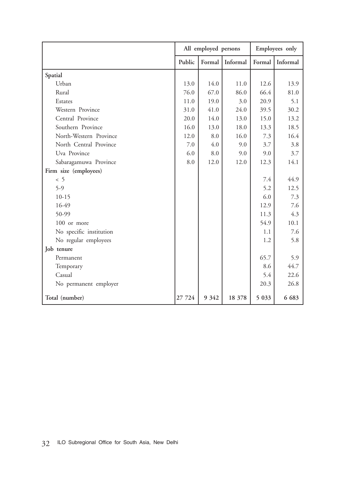|                         | All employed persons |         | Employees only |         |          |
|-------------------------|----------------------|---------|----------------|---------|----------|
|                         | Public               | Formal  | Informal       | Formal  | Informal |
| Spatial                 |                      |         |                |         |          |
| Urban                   | 13.0                 | 14.0    | 11.0           | 12.6    | 13.9     |
| Rural                   | 76.0                 | 67.0    | 86.0           | 66.4    | 81.0     |
| Estates                 | 11.0                 | 19.0    | 3.0            | 20.9    | 5.1      |
| Western Province        | 31.0                 | 41.0    | 24.0           | 39.5    | 30.2     |
| Central Province        | 20.0                 | 14.0    | 13.0           | 15.0    | 13.2     |
| Southern Province       | 16.0                 | 13.0    | 18.0           | 13.3    | 18.5     |
| North-Western Province  | 12.0                 | 8.0     | 16.0           | 7.3     | 16.4     |
| North Central Province  | 7.0                  | 4.0     | 9.0            | 3.7     | 3.8      |
| Uva Province            | 6.0                  | 8.0     | 9.0            | 9.0     | 3.7      |
| Sabaragamuwa Province   | 8.0                  | 12.0    | 12.0           | 12.3    | 14.1     |
| Firm size (employees)   |                      |         |                |         |          |
| < 5                     |                      |         |                | 7.4     | 44.9     |
| $5-9$                   |                      |         |                | 5.2     | 12.5     |
| $10-15$                 |                      |         |                | 6.0     | 7.3      |
| 16-49                   |                      |         |                | 12.9    | 7.6      |
| 50-99                   |                      |         |                | 11.3    | 4.3      |
| 100 or more             |                      |         |                | 54.9    | 10.1     |
| No specific institution |                      |         |                | 1.1     | 7.6      |
| No regular employees    |                      |         |                | 1.2     | 5.8      |
| Job tenure              |                      |         |                |         |          |
| Permanent               |                      |         |                | 65.7    | 5.9      |
| Temporary               |                      |         |                | 8.6     | 44.7     |
| Casual                  |                      |         |                | 5.4     | 22.6     |
| No permanent employer   |                      |         |                | 20.3    | 26.8     |
| Total (number)          | 27 724               | 9 3 4 2 | 18 378         | 5 0 3 3 | 6 683    |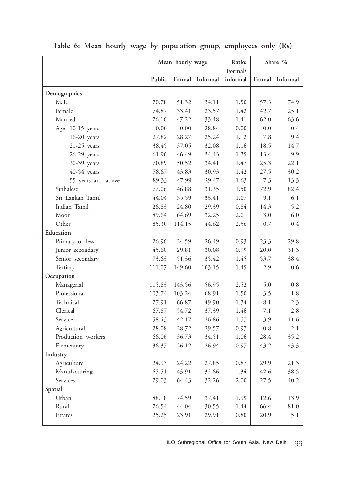|                    |        | Mean hourly wage |          |                     | Share % |          |
|--------------------|--------|------------------|----------|---------------------|---------|----------|
|                    | Public | Formal           | Informal | Formal/<br>informal | Formal  | Informal |
| Demographics       |        |                  |          |                     |         |          |
| Male               | 70.78  | 51.32            | 34.11    | 1.50                | 57.3    | 74.9     |
| Female             | 74.87  | 33.41            | 23.57    | 1.42                | 42.7    | 25.1     |
| Married            | 76.16  | 47.22            | 33.48    | 1.41                | 62.0    | 63.6     |
| Age 10-15 years    | 0.00   | 0.00             | 28.84    | 0.00                | 0.0     | 0.4      |
| $16-20$ years      | 27.82  | 28.27            | 25.24    | 1.12                | 7.8     | 9.4      |
| $21-25$ years      | 38.45  | 37.05            | 32.08    | 1.16                | 18.5    | 14.7     |
| 26-29 years        | 61.96  | 46.49            | 34.43    | 1.35                | 13.4    | 9.9      |
| 30-39 years        | 70.89  | 50.52            | 34.41    | 1.47                | 25.3    | 22.1     |
| 40-54 years        | 78.67  | 43.83            | 30.93    | 1.42                | 27.5    | 30.2     |
| 55 years and above | 89.33  | 47.99            | 29.47    | 1.63                | 7.3     | 13.3     |
| Sinhalese          | 77.06  | 46.88            | 31.35    | 1.50                | 72.9    | 82.4     |
| Sri Lankan Tamil   | 44.04  | 35.59            | 33.41    | 1.07                | 9.1     | 6.1      |
| Indian Tamil       | 26.83  | 24.80            | 29.39    | 0.84                | 14.3    | 5.2      |
| Moor               | 89.64  | 64.69            | 32.25    | 2.01                | 3.0     | 6.0      |
| Other              | 85.30  | 114.15           | 44.62    | 2.56                | 0.7     | 0.4      |
| Education          |        |                  |          |                     |         |          |
| Primary or less    | 26.96  | 24.59            | 26.49    | 0.93                | 23.3    | 29.8     |
| Junior secondary   | 45.60  | 29.81            | 30.08    | 0.99                | 20.0    | 31.3     |
| Senior secondary   | 73.63  | 51.36            | 35.42    | 1.45                | 53.7    | 38.4     |
| Tertiary           | 111.07 | 149.60           | 103.15   | 1.45                | 2.9     | 0.6      |
| Occupation         |        |                  |          |                     |         |          |
| Managerial         | 115.83 | 143.56           | 56.95    | 2.52                | 5.0     | 0.8      |
| Professional       | 103.74 | 103.24           | 68.91    | 1.50                | 3.5     | 1.8      |
| Technical          | 77.91  | 66.87            | 49.90    | 1.34                | 8.1     | 2.3      |
| Clerical           | 67.87  | 54.72            | 37.39    | 1.46                | 7.1     | 2.8      |
| Service            | 58.43  | 42.17            | 26.86    | 1.57                | 3.9     | 11.6     |
| Agricultural       | 28.08  | 28.72            | 29.57    | 0.97                | $0.8\,$ | 2.1      |
| Production workers | 66.06  | 36.73            | 34.51    | 1.06                | 28.4    | 35.2     |
| Elementary         | 36.37  | 26.12            | 26.94    | 0.97                | 43.2    | 43.3     |
| Industry           |        |                  |          |                     |         |          |
| Agriculture        | 24.93  | 24.22            | 27.85    | 0.87                | 29.9    | 21.3     |
| Manufacturing      | 65.51  | 43.91            | 32.66    | 1.34                | 42.6    | 38.5     |
| Services           | 79.03  | 64.43            | 32.26    | 2.00                | 27.5    | 40.2     |
| Spatial            |        |                  |          |                     |         |          |
| Urban              | 88.18  | 74.59            | 37.41    | 1.99                | 12.6    | 13.9     |
| Rural              | 76.54  | 44.04            | 30.55    | 1.44                | 66.4    | 81.0     |
| Estates            | 25.25  | 23.91            | 29.91    | $0.80\,$            | 20.9    | 5.1      |

**Table 6: Mean hourly wage by population group, employees only (Rs)**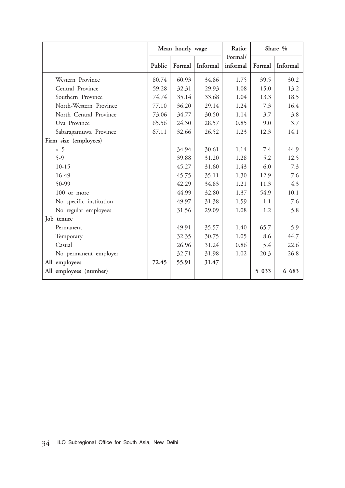|                         | Mean hourly wage |        |          | Ratio:              | Share % |          |
|-------------------------|------------------|--------|----------|---------------------|---------|----------|
|                         | Public           | Formal | Informal | Formal/<br>informal | Formal  | Informal |
| Western Province        | 80.74            | 60.93  | 34.86    | 1.75                | 39.5    | 30.2     |
| Central Province        | 59.28            | 32.31  | 29.93    | 1.08                | 15.0    | 13.2     |
| Southern Province       | 74.74            | 35.14  | 33.68    | 1.04                | 13.3    | 18.5     |
| North-Western Province  | 77.10            | 36.20  | 29.14    | 1.24                | 7.3     | 16.4     |
| North Central Province  | 73.06            | 34.77  | 30.50    | 1.14                | 3.7     | 3.8      |
| Uva Province            | 65.56            | 24.30  | 28.57    | 0.85                | 9.0     | 3.7      |
| Sabaragamuwa Province   | 67.11            | 32.66  | 26.52    | 1.23                | 12.3    | 14.1     |
| Firm size (employees)   |                  |        |          |                     |         |          |
| < 5                     |                  | 34.94  | 30.61    | 1.14                | 7.4     | 44.9     |
| $5-9$                   |                  | 39.88  | 31.20    | 1.28                | 5.2     | 12.5     |
| $10-15$                 |                  | 45.27  | 31.60    | 1.43                | 6.0     | 7.3      |
| 16-49                   |                  | 45.75  | 35.11    | 1.30                | 12.9    | 7.6      |
| 50-99                   |                  | 42.29  | 34.83    | 1.21                | 11.3    | 4.3      |
| 100 or more             |                  | 44.99  | 32.80    | 1.37                | 54.9    | 10.1     |
| No specific institution |                  | 49.97  | 31.38    | 1.59                | 1.1     | 7.6      |
| No regular employees    |                  | 31.56  | 29.09    | 1.08                | 1.2     | 5.8      |
| Job tenure              |                  |        |          |                     |         |          |
| Permanent               |                  | 49.91  | 35.57    | 1.40                | 65.7    | 5.9      |
| Temporary               |                  | 32.35  | 30.75    | 1.05                | 8.6     | 44.7     |
| Casual                  |                  | 26.96  | 31.24    | 0.86                | 5.4     | 22.6     |
| No permanent employer   |                  | 32.71  | 31.98    | 1.02                | 20.3    | 26.8     |
| All employees           | 72.45            | 55.91  | 31.47    |                     |         |          |
| All employees (number)  |                  |        |          |                     | 5 033   | 6 683    |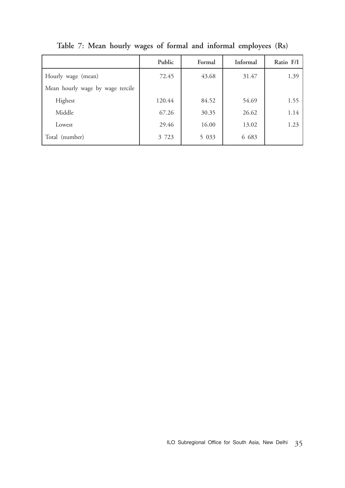|                                  | Public  | Formal  | Informal | Ratio F/I |
|----------------------------------|---------|---------|----------|-----------|
| Hourly wage (mean)               | 72.45   | 43.68   | 31.47    | 1.39      |
| Mean hourly wage by wage tercile |         |         |          |           |
| Highest                          | 120.44  | 84.52   | 54.69    | 1.55      |
| Middle                           | 67.26   | 30.35   | 26.62    | 1.14      |
| Lowest                           | 29.46   | 16.00   | 13.02    | 1.23      |
| Total (number)                   | 3 7 2 3 | 5 0 3 3 | 6 683    |           |

**Table 7: Mean hourly wages of formal and informal employees (Rs)**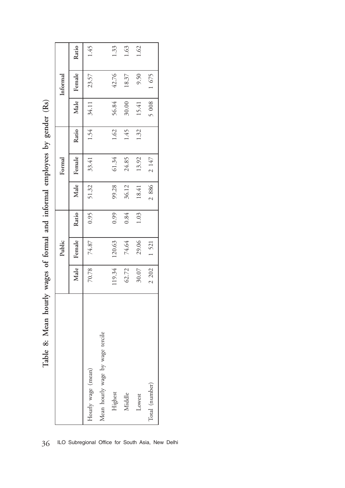|                                  |        | Public |       |       | Formal |       |         | Informal |       |
|----------------------------------|--------|--------|-------|-------|--------|-------|---------|----------|-------|
|                                  | Male   | Female | Ratio | Male  | Female | Ratio | Male    | Female   | Ratio |
| Hourly wage (mean)               | 70.78  | 74.87  | 0.95  | 51.32 | 33.41  | 1.54  | 34.11   | 23.57    | 1.45  |
| Mean hourly wage by wage tercile |        |        |       |       |        |       |         |          |       |
| Highest                          | 119.34 | 120.63 | 0.99  | 99.28 | 61.34  | 1.62  | 56.84   | 42.76    | 1.33  |
| Middle                           | 62.72  | 74.64  | 0.84  | 36.12 | 24.85  | 1.45  | 30.00   | 18.37    | 1.63  |
| Lowest                           | 30.07  | 29.06  | 1.03  | 18.41 | 13.92  | 1.32  | 15.41   | 9.50     | 1.62  |
| Total (number)                   | 2 202  | 1521   |       | 2886  | 2 147  |       | 5 0 0 8 | 1675     |       |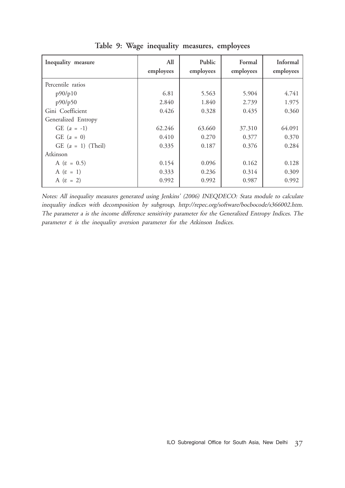| Inequality measure   | All<br>employees | Public<br>employees | Formal<br>employees | Informal<br>employees |
|----------------------|------------------|---------------------|---------------------|-----------------------|
|                      |                  |                     |                     |                       |
| Percentile ratios    |                  |                     |                     |                       |
| p90/p10              | 6.81             | 5.563               | 5.904               | 4.741                 |
| p90/p50              | 2.840            | 1.840               | 2.739               | 1.975                 |
| Gini Coefficient     | 0.426            | 0.328               | 0.435               | 0.360                 |
| Generalized Entropy  |                  |                     |                     |                       |
| GE $(a = -1)$        | 62.246           | 63.660              | 37.310              | 64.091                |
| GE $(a = 0)$         | 0.410            | 0.270               | 0.377               | 0.370                 |
| GE $(a = 1)$ (Theil) | 0.335            | 0.187               | 0.376               | 0.284                 |
| Atkinson             |                  |                     |                     |                       |
| $A (ε = 0.5)$        | 0.154            | 0.096               | 0.162               | 0.128                 |
| A $(\epsilon = 1)$   | 0.333            | 0.236               | 0.314               | 0.309                 |
| A $(\epsilon = 2)$   | 0.992            | 0.992               | 0.987               | 0.992                 |

**Table 9: Wage inequality measures, employees**

Notes: All inequality measures generated using Jenkins' (2006) INEQDECO: Stata module to calculate inequality indices with decomposition by subgroup, http://repec.org/software/bocbocode/s366002.htm. The parameter a is the income difference sensitivity parameter for the Generalized Entropy Indices. The parameter  $\varepsilon$  is the inequality aversion parameter for the Atkinson Indices.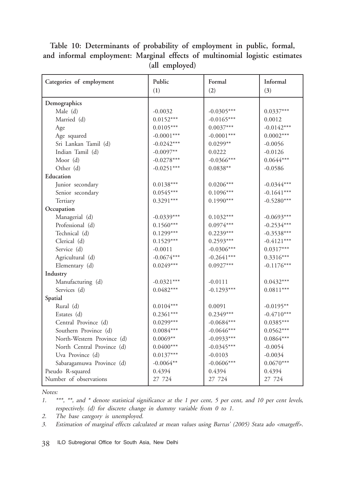| Categories of employment   | Public       | Formal       | Informal     |
|----------------------------|--------------|--------------|--------------|
|                            | (1)          | (2)          | (3)          |
| Demographics               |              |              |              |
| Male (d)                   | $-0.0032$    | $-0.0305***$ | $0.0337***$  |
| Married (d)                | $0.0152***$  | $-0.0165***$ | 0.0012       |
| Age                        | $0.0105***$  | $0.0037***$  | $-0.0142***$ |
| Age squared                | $-0.0001***$ | $-0.0001***$ | $0.0002***$  |
| Sri Lankan Tamil (d)       | $-0.0242***$ | $0.0299**$   | $-0.0056$    |
| Indian Tamil (d)           | $-0.0097**$  | 0.0222       | $-0.0126$    |
| Moor (d)                   | $-0.0278***$ | $-0.0366***$ | $0.0644***$  |
| Other (d)                  | $-0.0251***$ | $0.0838**$   | $-0.0586$    |
| Education                  |              |              |              |
| Junior secondary           | $0.0138***$  | $0.0206***$  | $-0.0344***$ |
| Senior secondary           | $0.0545***$  | $0.1096***$  | $-0.1641***$ |
| Tertiary                   | $0.3291***$  | $0.1990***$  | $-0.5280***$ |
| Occupation                 |              |              |              |
| Managerial (d)             | $-0.0339***$ | $0.1032***$  | $-0.0693***$ |
| Professional (d)           | $0.1560***$  | $0.0974***$  | $-0.2534***$ |
| Technical (d)              | $0.1299***$  | $0.2239***$  | $-0.3538***$ |
| Clerical (d)               | $0.1529***$  | $0.2593***$  | $-0.4121***$ |
| Service (d)                | $-0.0011$    | $-0.0306***$ | $0.0317***$  |
| Agricultural (d)           | $-0.0674***$ | $-0.2641***$ | $0.3316***$  |
| Elementary (d)             | $0.0249***$  | $0.0927***$  | $-0.1176***$ |
| Industry                   |              |              |              |
| Manufacturing (d)          | $-0.0321***$ | $-0.0111$    | $0.0432***$  |
| Services (d)               | $0.0482***$  | $-0.1293***$ | $0.0811***$  |
| Spatial                    |              |              |              |
| Rural (d)                  | $0.0104***$  | 0.0091       | $-0.0195**$  |
| Estates (d)                | $0.2361***$  | $0.2349***$  | $-0.4710***$ |
| Central Province (d)       | $0.0299***$  | $-0.0684***$ | $0.0385***$  |
| Southern Province (d)      | $0.0084***$  | $-0.0646***$ | $0.0562***$  |
| North-Western Province (d) | $0.0069**$   | $-0.0933***$ | $0.0864***$  |
| North Central Province (d) | $0.0400***$  | $-0.0345***$ | $-0.0054$    |
| Uva Province (d)           | $0.0137***$  | $-0.0103$    | $-0.0034$    |
| Sabaragamuwa Province (d)  | $-0.0064**$  | $-0.0606***$ | $0.0670***$  |
| Pseudo R-squared           | 0.4394       | 0.4394       | 0.4394       |
| Number of observations     | 27 724       | 27 724       | 27 724       |

**Table 10: Determinants of probability of employment in public, formal, and informal employment: Marginal effects of multinomial logistic estimates (all employed)**

#### Notes:

1. \*\*\*, \*\*, and \* denote statistical significance at the 1 per cent, 5 per cent, and 10 per cent levels, respectively. (d) for discrete change in dummy variable from 0 to 1.

2. The base category is unemployed.

3. Estimation of marginal effects calculated at mean values using Bartus' (2005) Stata ado <margeff>.

38 ILO Subregional Office for South Asia, New Delhi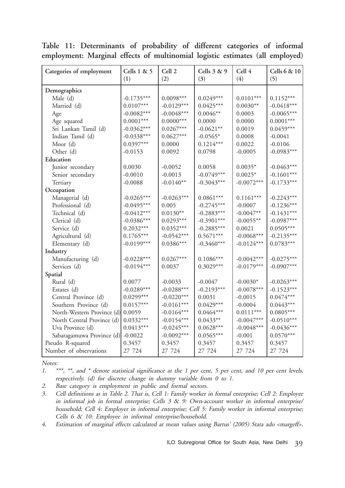| Categories of employment   | Cells 1 & 5<br>(1) | Cell 2<br>(2) | Cells 3 & 9<br>(3) | Cell 4<br>(4) | Cells 6 & 10<br>(5) |
|----------------------------|--------------------|---------------|--------------------|---------------|---------------------|
| Demographics               |                    |               |                    |               |                     |
| Male (d)                   | $-0.1735***$       | $0.0098***$   | $0.0249***$        | $0.0101***$   | $0.1152***$         |
| Married (d)                | $0.0107***$        | $-0.0129***$  | $0.0425***$        | $0.0030**$    | $-0.0418***$        |
| Age                        | $-0.0082***$       | $-0.0048***$  | $0.0046**$         | 0.0003        | $-0.0065***$        |
| Age squared                | $0.0001***$        | $0.0000***$   | 0.0000             | 0.0000        | $0.0001***$         |
| Sri Lankan Tamil (d)       | $-0.0362***$       | $0.0267***$   | $-0.0621**$        | 0.0019        | $0.0459***$         |
| Indian Tamil (d)           | $-0.0338***$       | $0.0627***$   | $-0.0565*$         | 0.0008        | $-0.0041$           |
| Moor (d)                   | $0.0397***$        | 0.0000        | $0.1214***$        | 0.0022        | $-0.0106$           |
| Other (d)                  | $-0.0153$          | 0.0092        | 0.0798             | $-0.0005$     | $-0.0983***$        |
| Education                  |                    |               |                    |               |                     |
| Junior secondary           | 0.0030             | $-0.0052$     | 0.0058             | $0.0035*$     | $-0.0463***$        |
| Senior secondary           | $-0.0010$          | $-0.0013$     | $-0.0749***$       | $0.0025*$     | $-0.1601***$        |
| Tertiary                   | $-0.0088$          | $-0.0140**$   | $-0.3043***$       | $-0.0072***$  | $-0.1733***$        |
| Occupation                 |                    |               |                    |               |                     |
| Managerial (d)             | $-0.0265***$       | $-0.0263***$  | $0.0861***$        | $0.1161***$   | $-0.2243***$        |
| Professional (d)           | $-0.0495***$       | 0.005         | $-0.2745***$       | $-0.0007$     | $-0.1236***$        |
| Technical (d)              | $-0.0412***$       | $0.0130**$    | $-0.2883***$       | $-0.0047**$   | $-0.1431***$        |
| Clerical (d)               | $-0.0386***$       | $0.0293***$   | $-0.3901***$       | $-0.0055**$   | $-0.0987***$        |
| Service (d)                | $0.2032***$        | $0.0352***$   | $-0.2885***$       | 0.0021        | $0.0505***$         |
| Agricultural (d)           | $0.1765***$        | $-0.0542***$  | $0.5671***$        | $-0.0068***$  | $-0.2135***$        |
| Elementary (d)             | $-0.0199***$       | $0.0386***$   | $-0.3460***$       | $-0.0124***$  | $0.0783***$         |
| Industry                   |                    |               |                    |               |                     |
| Manufacturing (d)          | $-0.0228***$       | $0.0267***$   | $0.1086***$        | $-0.0042***$  | $-0.0275***$        |
| Services (d)               | $-0.0194***$       | 0.0037        | $0.3029***$        | $-0.0179***$  | $-0.0907***$        |
| Spatial                    |                    |               |                    |               |                     |
| Rural (d)                  | 0.0077             | $-0.0033$     | $-0.0047$          | $-0.0030*$    | $-0.0263***$        |
| Estates (d)                | $-0.0289***$       | $-0.0288***$  | $-0.2193***$       | $-0.0078***$  | $-0.1523***$        |
| Central Province (d)       | $0.0299***$        | $-0.0220***$  | 0.0031             | $-0.0015$     | $0.0474***$         |
| Southern Province (d)      | $0.0157***$        | $-0.0161***$  | $0.0429***$        | $-0.0004$     | $0.0443***$         |
| North-Western Province (d) | 0.0059             | $-0.0164***$  | $0.0464***$        | $0.0111***$   | $0.0805***$         |
| North Central Province (d) | $0.0332***$        | $-0.0154***$  | $0.0433**$         | $-0.0047***$  | $-0.0510***$        |
| Uva Province (d)           | $0.0413***$        | $-0.0245***$  | $0.0628***$        | $-0.0048***$  | $-0.0436***$        |
| Sabaragamuwa Province (d)  | $-0.0022$          | $-0.0092***$  | $0.0565***$        | $-0.001$      | $0.0570***$         |
| Pseudo R-squared           | 0.3457             | 0.3457        | 0.3457             | 0.3457        | 0.3457              |
| Number of observations     | 27 724             | 27 724        | 27 724             | 27 724        | 27 724              |

**Table 11: Determinants of probability of different categories of informal employment: Marginal effects of multinomial logistic estimates (all employed)**

1. \*\*\*, \*\*, and \* denote statistical significance at the 1 per cent, 5 per cent, and 10 per cent levels, respectively. (d) for discrete change in dummy variable from 0 to 1.

2. Base category is employment in public and formal sectors.

3. Cell definitions as in Table 2. That is, Cell 1: Family worker in formal enterprise; Cell 2: Employee in informal job in formal enterprise; Cells 3 & 9: Own-account worker in informal enterprise/ household; Cell 4: Employer in informal enterprise; Cell 5: Family worker in informal enterprise; Cells 6 & 10: Employee in informal enterprise/household.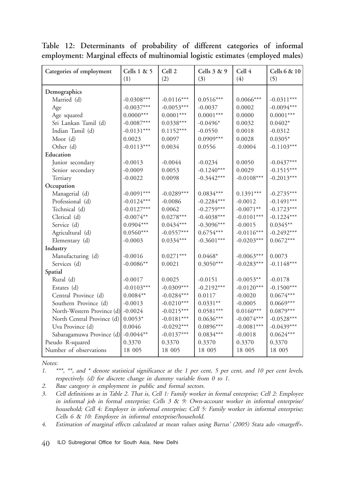| Categories of employment   | Cells 1 & 5<br>(1) | Cell <sub>2</sub><br>(2) | Cells $3 & 9$<br>(3) | Cell 4<br>(4) | Cells 6 & 10<br>(5) |
|----------------------------|--------------------|--------------------------|----------------------|---------------|---------------------|
| Demographics               |                    |                          |                      |               |                     |
| Married (d)                | $-0.0308***$       | $-0.0116***$             | $0.0516***$          | $0.0066***$   | $-0.0311***$        |
| Age                        | $-0.0037***$       | $-0.0053***$             | $-0.0037$            | 0.0002        | $-0.0094***$        |
| Age squared                | $0.0000***$        | $0.0001***$              | $0.0001***$          | 0.0000        | $0.0001***$         |
| Sri Lankan Tamil (d)       | $-0.0087***$       | $0.0338***$              | $-0.0496*$           | 0.0032        | $0.0402*$           |
| Indian Tamil (d)           | $-0.0131***$       | $0.1152***$              | $-0.0550$            | 0.0018        | $-0.0312$           |
| Moor (d)                   | 0.0023             | 0.0097                   | $0.0909***$          | 0.0028        | $0.0305*$           |
| Other (d)                  | $-0.0113***$       | 0.0034                   | 0.0556               | $-0.0004$     | $-0.1103***$        |
| Education                  |                    |                          |                      |               |                     |
| Junior secondary           | $-0.0013$          | $-0.0044$                | $-0.0234$            | 0.0050        | $-0.0437***$        |
| Senior secondary           | $-0.0009$          | 0.0053                   | $-0.1240***$         | 0.0029        | $-0.1515***$        |
| Tertiary                   | $-0.0022$          | 0.0098                   | $-0.3442***$         | $-0.0108***$  | $-0.2013***$        |
| Occupation                 |                    |                          |                      |               |                     |
| Managerial (d)             | $-0.0091***$       | $-0.0289***$             | $0.0834***$          | $0.1391***$   | $-0.2735***$        |
| Professional (d)           | $-0.0124***$       | $-0.0086$                | $-0.2284***$         | $-0.0012$     | $-0.1491***$        |
| Technical (d)              | $-0.0127***$       | 0.0062                   | $-0.2759***$         | $-0.0071**$   | $-0.1723***$        |
| Clerical (d)               | $-0.0074**$        | $0.0278***$              | $-0.4038***$         | $-0.0101***$  | $-0.1224***$        |
| Service (d)                | $0.0904***$        | $0.0434***$              | $-0.3096***$         | $-0.0015$     | $0.0345**$          |
| Agricultural (d)           | $0.0560***$        | $-0.0557***$             | $0.6754***$          | $-0.0116***$  | $-0.2492***$        |
| Elementary (d)             | $-0.0003$          | $0.0334***$              | $-0.3601***$         | $-0.0203***$  | $0.0672***$         |
| Industry                   |                    |                          |                      |               |                     |
| Manufacturing (d)          | $-0.0016$          | $0.0271***$              | $0.0468*$            | $-0.0063***$  | 0.0073              |
| Services (d)               | $-0.0086**$        | 0.0021                   | $0.3050***$          | $-0.0283***$  | $-0.1148***$        |
| Spatial                    |                    |                          |                      |               |                     |
| Rural (d)                  | $-0.0017$          | 0.0025                   | $-0.0151$            | $-0.0053**$   | $-0.0178$           |
| Estates (d)                | $-0.0103***$       | $-0.0309***$             | $-0.2192***$         | $-0.0120***$  | $-0.1500***$        |
| Central Province (d)       | $0.0084**$         | $-0.0284***$             | 0.0117               | $-0.0020$     | $0.0674***$         |
| Southern Province (d)      | $-0.0013$          | $-0.0210***$             | $0.0331**$           | $-0.0005$     | $0.0669***$         |
| North-Western Province (d) | $-0.0024$          | $-0.0215***$             | $0.0581***$          | $0.0160***$   | $0.0879***$         |
| North Central Province (d) | $0.0053*$          | $-0.0181***$             | $0.0636***$          | $-0.0074***$  | $-0.0528***$        |
| Uva Province (d)           | 0.0046             | $-0.0292***$             | $0.0896***$          | $-0.0081***$  | $-0.0439***$        |
| Sabaragamuwa Province (d)  | $-0.0044**$        | $-0.0137***$             | $0.0834***$          | $-0.0018$     | $0.0624***$         |
| Pseudo R-squared           | 0.3370             | 0.3370                   | 0.3370               | 0.3370        | 0.3370              |
| Number of observations     | 18 005             | 18 005                   | 18 005               | 18 005        | 18 005              |

**Table 12: Determinants of probability of different categories of informal employment: Marginal effects of multinomial logistic estimates (employed males)**

1. \*\*\*, \*\*, and \* denote statistical significance at the 1 per cent, 5 per cent, and 10 per cent levels, respectively. (d) for discrete change in dummy variable from 0 to 1.

2. Base category is employment in public and formal sectors.

3. Cell definitions as in Table 2. That is, Cell 1: Family worker in formal enterprise; Cell 2: Employee in informal job in formal enterprise; Cells 3 & 9: Own-account worker in informal enterprise/ household; Cell 4: Employer in informal enterprise; Cell 5: Family worker in informal enterprise; Cells 6 & 10: Employee in informal enterprise/household.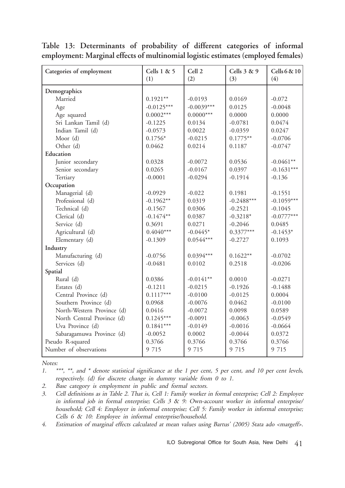| Categories of employment   | Cells 1 & 5<br>(1) | Cell <sub>2</sub><br>(2) | Cells 3 & 9<br>(3) | Cells 6 & 10<br>(4) |
|----------------------------|--------------------|--------------------------|--------------------|---------------------|
| Demographics               |                    |                          |                    |                     |
| Married                    | $0.1921**$         | $-0.0193$                | 0.0169             | $-0.072$            |
| Age                        | $-0.0125***$       | $-0.0039***$             | 0.0125             | $-0.0048$           |
| Age squared                | $0.0002***$        | $0.0000***$              | 0.0000             | 0.0000              |
| Sri Lankan Tamil (d)       | $-0.1225$          | 0.0134                   | $-0.0781$          | 0.0474              |
| Indian Tamil (d)           | $-0.0573$          | 0.0022                   | $-0.0359$          | 0.0247              |
| Moor (d)                   | $0.1756*$          | $-0.0215$                | $0.1775***$        | $-0.0706$           |
| Other (d)                  | 0.0462             | 0.0214                   | 0.1187             | $-0.0747$           |
| Education                  |                    |                          |                    |                     |
| Junior secondary           | 0.0328             | $-0.0072$                | 0.0536             | $-0.0461**$         |
| Senior secondary           | 0.0265             | $-0.0167$                | 0.0397             | $-0.1631***$        |
| Tertiary                   | $-0.0001$          | $-0.0294$                | $-0.1914$          | $-0.136$            |
| Occupation                 |                    |                          |                    |                     |
| Managerial (d)             | $-0.0929$          | $-0.022$                 | 0.1981             | $-0.1551$           |
| Professional (d)           | $-0.1962**$        | 0.0319                   | $-0.2488***$       | $-0.1059***$        |
| Technical (d)              | $-0.1567$          | 0.0306                   | $-0.2521$          | $-0.1045$           |
| Clerical (d)               | $-0.1474**$        | 0.0387                   | $-0.3218*$         | $-0.0777***$        |
| Service (d)                | 0.3691             | 0.0271                   | $-0.2046$          | 0.0485              |
| Agricultural (d)           | $0.4040***$        | $-0.0445*$               | $0.3377***$        | $-0.1453*$          |
| Elementary (d)             | $-0.1309$          | $0.0544***$              | $-0.2727$          | 0.1093              |
| Industry                   |                    |                          |                    |                     |
| Manufacturing (d)          | $-0.0756$          | $0.0394***$              | $0.1622**$         | $-0.0702$           |
| Services (d)               | $-0.0481$          | 0.0102                   | 0.2518             | $-0.0206$           |
| Spatial                    |                    |                          |                    |                     |
| Rural (d)                  | 0.0386             | $-0.0141**$              | 0.0010             | $-0.0271$           |
| Estates (d)                | $-0.1211$          | $-0.0215$                | $-0.1926$          | $-0.1488$           |
| Central Province (d)       | $0.1117***$        | $-0.0100$                | $-0.0125$          | 0.0004              |
| Southern Province (d)      | 0.0968             | $-0.0076$                | 0.0462             | $-0.0100$           |
| North-Western Province (d) | 0.0416             | $-0.0072$                | 0.0098             | 0.0589              |
| North Central Province (d) | $0.1245***$        | $-0.0091$                | $-0.0063$          | $-0.0549$           |
| Uva Province (d)           | $0.1841***$        | $-0.0149$                | $-0.0016$          | $-0.0664$           |
| Sabaragamuwa Province (d)  | $-0.0052$          | 0.0002                   | $-0.0044$          | 0.0372              |
| Pseudo R-squared           | 0.3766             | 0.3766                   | 0.3766             | 0.3766              |
| Number of observations     | 9 7 15             | 9 7 15                   | 9 7 15             | 9 7 15              |

**Table 13: Determinants of probability of different categories of informal employment: Marginal effects of multinomial logistic estimates (employed females)**

1. \*\*\*, \*\*, and \* denote statistical significance at the 1 per cent, 5 per cent, and 10 per cent levels, respectively. (d) for discrete change in dummy variable from 0 to 1.

2. Base category is employment in public and formal sectors.

3. Cell definitions as in Table 2. That is, Cell 1: Family worker in formal enterprise; Cell 2: Employee in informal job in formal enterprise; Cells 3 & 9: Own-account worker in informal enterprise/ household; Cell 4: Employer in informal enterprise; Cell 5: Family worker in informal enterprise; Cells 6 & 10: Employee in informal enterprise/household.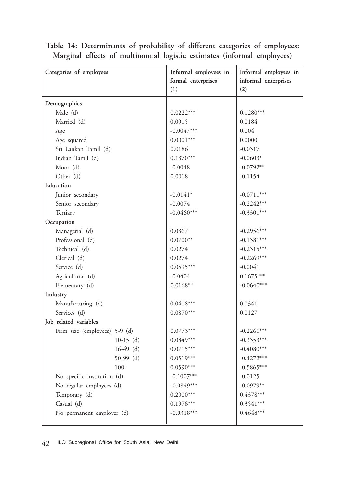| Categories of employees       | Informal employees in     | Informal employees in       |
|-------------------------------|---------------------------|-----------------------------|
|                               | formal enterprises<br>(1) | informal enterprises<br>(2) |
| Demographics                  |                           |                             |
| Male (d)                      | $0.0222***$               | $0.1280***$                 |
| Married (d)                   | 0.0015                    | 0.0184                      |
| Age                           | $-0.0047***$              | 0.004                       |
| Age squared                   | $0.0001***$               | 0.0000                      |
| Sri Lankan Tamil (d)          | 0.0186                    | $-0.0317$                   |
| Indian Tamil (d)              | $0.1370***$               | $-0.0603*$                  |
| Moor (d)                      | $-0.0048$                 | $-0.0792**$                 |
| Other (d)                     | 0.0018                    | $-0.1154$                   |
| Education                     |                           |                             |
| Junior secondary              | $-0.0141*$                | $-0.0711***$                |
| Senior secondary              | $-0.0074$                 | $-0.2242***$                |
| Tertiary                      | $-0.0460***$              | $-0.3301***$                |
| Occupation                    |                           |                             |
| Managerial (d)                | 0.0367                    | $-0.2956***$                |
| Professional (d)              | $0.0700**$                | $-0.1381***$                |
| Technical (d)                 | 0.0274                    | $-0.2315***$                |
| Clerical (d)                  | 0.0274                    | $-0.2269***$                |
| Service (d)                   | $0.0595***$               | $-0.0041$                   |
| Agricultural (d)              | $-0.0404$                 | $0.1675***$                 |
| Elementary (d)                | $0.0168**$                | $-0.0640***$                |
| Industry                      |                           |                             |
| Manufacturing (d)             | $0.0418***$               | 0.0341                      |
| Services (d)                  | $0.0870***$               | 0.0127                      |
| Job related variables         |                           |                             |
| Firm size (employees) 5-9 (d) | $0.0773***$               | $-0.2261***$                |
| $10-15$ (d)                   | $0.0849***$               | $-0.3353***$                |
| $16-49$ (d)                   | $0.0715***$               | $-0.4080***$                |
| $50-99$ (d)                   | $0.0519***$               | $-0.4272***$                |
| $100+$                        | $0.0590***$               | $-0.5865***$                |
| No specific institution (d)   | $-0.1007***$              | $-0.0125$                   |
| No regular employees (d)      | $-0.0849***$              | $-0.0979**$                 |
| Temporary (d)                 | $0.2000^{***}\,$          | $0.4378***$                 |
| Casual (d)                    | $0.1976***$               | $0.3541***$                 |
| No permanent employer (d)     | $-0.0318***$              | $0.4648***$                 |

**Table 14: Determinants of probability of different categories of employees: Marginal effects of multinomial logistic estimates (informal employees)**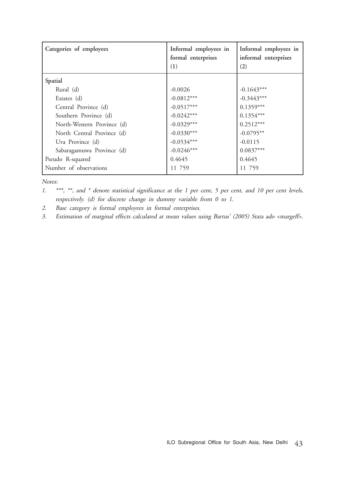| Categories of employees    | Informal employees in<br>formal enterprises<br>(1) | Informal employees in<br>informal enterprises<br>(2) |
|----------------------------|----------------------------------------------------|------------------------------------------------------|
| Spatial                    |                                                    |                                                      |
| Rural (d)                  | $-0.0026$                                          | $-0.1643***$<br>$-0.3443***$                         |
| Estates (d)                | $-0.0812***$                                       |                                                      |
| Central Province (d)       | $-0.0517***$                                       | $0.1359***$                                          |
| Southern Province (d)      | $-0.0242***$                                       | $0.1354***$                                          |
| North-Western Province (d) | $-0.0329***$                                       | $0.2512***$                                          |
| North Central Province (d) | $-0.0330***$                                       | $-0.0795**$                                          |
| Uva Province (d)           | $-0.0534***$                                       | $-0.0115$                                            |
| Sabaragamuwa Province (d)  | $-0.0246***$                                       | $0.0837***$                                          |
| Pseudo R-squared           | 0.4645                                             | 0.4645                                               |
| Number of observations     | 11 759                                             | 11 759                                               |

1. \*\*\*, \*\*, and \* denote statistical significance at the 1 per cent, 5 per cent, and 10 per cent levels, respectively. (d) for discrete change in dummy variable from 0 to 1.

2. Base category is formal employees in formal enterprises.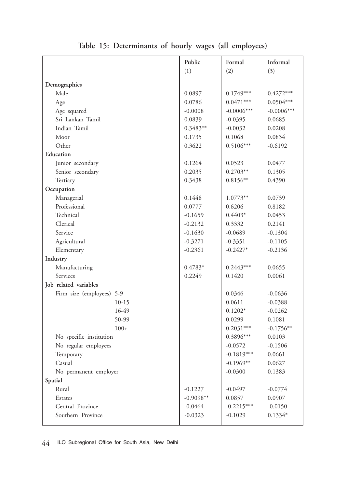|                                 | Public      | Formal              | Informal     |
|---------------------------------|-------------|---------------------|--------------|
|                                 | (1)         | (2)                 | (3)          |
|                                 |             |                     |              |
| Demographics<br>Male            | 0.0897      | $0.1749***$         | $0.4272***$  |
|                                 | 0.0786      | $0.0471***$         | $0.0504***$  |
| Age                             | $-0.0008$   | $-0.0006***$        | $-0.0006***$ |
| Age squared<br>Sri Lankan Tamil | 0.0839      | $-0.0395$           | 0.0685       |
| Indian Tamil                    |             |                     | 0.0208       |
| Moor                            | $0.3483**$  | $-0.0032$<br>0.1068 |              |
|                                 | 0.1735      |                     | 0.0834       |
| Other                           | 0.3622      | $0.5106***$         | $-0.6192$    |
| Education                       |             |                     |              |
| Junior secondary                | 0.1264      | 0.0523              | 0.0477       |
| Senior secondary                | 0.2035      | $0.2703**$          | 0.1305       |
| Tertiary                        | 0.3438      | $0.8156**$          | 0.4390       |
| Occupation                      |             |                     |              |
| Managerial                      | 0.1448      | $1.0773**$          | 0.0739       |
| Professional                    | 0.0777      | 0.6206              | 0.8182       |
| Technical                       | $-0.1659$   | $0.4403*$           | 0.0453       |
| Clerical                        | $-0.2132$   | 0.3332              | 0.2141       |
| Service                         | $-0.1630$   | $-0.0689$           | $-0.1304$    |
| Agricultural                    | $-0.3271$   | $-0.3351$           | $-0.1105$    |
| Elementary                      | $-0.2361$   | $-0.2427*$          | $-0.2136$    |
| Industry                        |             |                     |              |
| Manufacturing                   | $0.4783*$   | $0.2443***$         | 0.0655       |
| Services                        | 0.2249      | 0.1420              | 0.0061       |
| Job related variables           |             |                     |              |
| Firm size (employees) 5-9       |             | 0.0346              | $-0.0636$    |
| $10-15$                         |             | 0.0611              | $-0.0388$    |
| 16-49                           |             | $0.1202*$           | $-0.0262$    |
| 50-99                           |             | 0.0299              | 0.1081       |
| $100+$                          |             | $0.2031***$         | $-0.1756**$  |
| No specific institution         |             | $0.3896***$         | 0.0103       |
| No regular employees            |             | $-0.0572$           | $-0.1506$    |
| Temporary                       |             | $-0.1819***$        | 0.0661       |
| Casual                          |             | $-0.1969**$         | 0.0627       |
| No permanent employer           |             | $-0.0300$           | 0.1383       |
| Spatial                         |             |                     |              |
| Rural                           | $-0.1227$   | $-0.0497$           | $-0.0774$    |
| Estates                         | $-0.9098**$ | 0.0857              | 0.0907       |
| Central Province                | $-0.0464$   | $-0.2215***$        | $-0.0150$    |
| Southern Province               | $-0.0323$   | $-0.1029$           | $0.1334*$    |
|                                 |             |                     |              |

|  |  | Table 15: Determinants of hourly wages (all employees) |  |  |  |  |  |
|--|--|--------------------------------------------------------|--|--|--|--|--|
|--|--|--------------------------------------------------------|--|--|--|--|--|

44 ILO Subregional Office for South Asia, New Delhi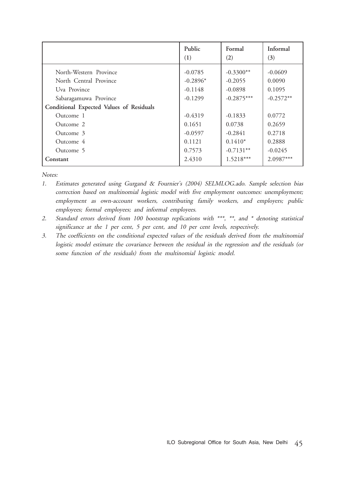|                                                                                                                                                                                                                    | Public                                                                                                              | Formal                                                                                                                               | Informal                                                                                                         |
|--------------------------------------------------------------------------------------------------------------------------------------------------------------------------------------------------------------------|---------------------------------------------------------------------------------------------------------------------|--------------------------------------------------------------------------------------------------------------------------------------|------------------------------------------------------------------------------------------------------------------|
|                                                                                                                                                                                                                    | (1)                                                                                                                 | (2)                                                                                                                                  | (3)                                                                                                              |
| North-Western Province<br>North Central Province<br>Uva Province<br>Sabaragamuwa Province<br>Conditional Expected Values of Residuals<br>Outcome 1<br>Outcome 2<br>Outcome 3<br>Outcome 4<br>Outcome 5<br>Constant | $-0.0785$<br>$-0.2896*$<br>$-0.1148$<br>$-0.1299$<br>$-0.4319$<br>0.1651<br>$-0.0597$<br>0.1121<br>0.7573<br>2.4310 | $-0.3300**$<br>$-0.2055$<br>$-0.0898$<br>$-0.2875***$<br>$-0.1833$<br>0.0738<br>$-0.2841$<br>$0.1410*$<br>$-0.7131**$<br>$1.5218***$ | $-0.0609$<br>0.0090<br>0.1095<br>$-0.2572**$<br>0.0772<br>0.2659<br>0.2718<br>0.2888<br>$-0.0245$<br>$2.0987***$ |

- 1. Estimates generated using Gurgand & Fournier's (2004) SELMLOG.ado. Sample selection bias correction based on multinomial logistic model with five employment outcomes: unemployment; employment as own-account workers, contributing family workers, and employers; public employees; formal employees; and informal employees.
- 2. Standard errors derived from 100 bootstrap replications with \*\*\*, \*\*, and \* denoting statistical significance at the 1 per cent, 5 per cent, and 10 per cent levels, respectively.
- 3. The coefficients on the conditional expected values of the residuals derived from the multinomial logistic model estimate the covariance between the residual in the regression and the residuals (or some function of the residuals) from the multinomial logistic model.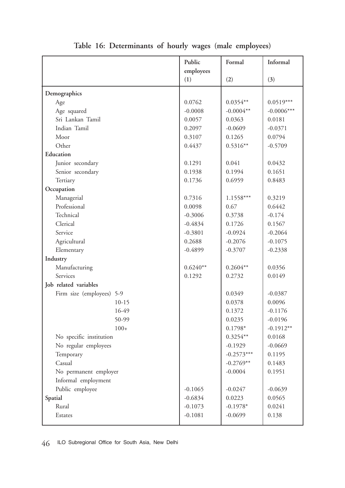|                           | Public     | Formal       | Informal     |
|---------------------------|------------|--------------|--------------|
|                           | employees  |              |              |
|                           | (1)        | (2)          | (3)          |
| Demographics              |            |              |              |
| Age                       | 0.0762     | $0.0354**$   | $0.0519***$  |
| Age squared               | $-0.0008$  | $-0.0004**$  | $-0.0006***$ |
| Sri Lankan Tamil          | 0.0057     | 0.0363       | 0.0181       |
| Indian Tamil              | 0.2097     | $-0.0609$    | $-0.0371$    |
| Moor                      | 0.3107     | 0.1265       | 0.0794       |
| Other                     | 0.4437     | $0.5316**$   | $-0.5709$    |
| Education                 |            |              |              |
| Junior secondary          | 0.1291     | 0.041        | 0.0432       |
| Senior secondary          | 0.1938     | 0.1994       | 0.1651       |
| Tertiary                  | 0.1736     | 0.6959       | 0.8483       |
| Occupation                |            |              |              |
| Managerial                | 0.7316     | $1.1558***$  | 0.3219       |
| Professional              | 0.0098     | 0.67         | 0.6442       |
| Technical                 | $-0.3006$  | 0.3738       | $-0.174$     |
| Clerical                  | $-0.4834$  | 0.1726       | 0.1567       |
| Service                   | $-0.3801$  | $-0.0924$    | $-0.2064$    |
| Agricultural              | 0.2688     | $-0.2076$    | $-0.1075$    |
| Elementary                | $-0.4899$  | $-0.3707$    | $-0.2338$    |
| Industry                  |            |              |              |
| Manufacturing             | $0.6240**$ | $0.2604**$   | 0.0356       |
| Services                  | 0.1292     | 0.2732       | 0.0149       |
| Job related variables     |            |              |              |
| Firm size (employees) 5-9 |            | 0.0349       | $-0.0387$    |
| $10-15$                   |            | 0.0378       | 0.0096       |
| 16-49                     |            | 0.1372       | $-0.1176$    |
| 50-99                     |            | 0.0235       | $-0.0196$    |
| $100+$                    |            | $0.1798*$    | $-0.1912**$  |
| No specific institution   |            | $0.3254**$   | 0.0168       |
| No regular employees      |            | $-0.1929$    | $-0.0669$    |
| Temporary                 |            | $-0.2573***$ | 0.1195       |
| Casual                    |            | $-0.2769**$  | 0.1483       |
| No permanent employer     |            | $-0.0004$    | 0.1951       |
| Informal employment       |            |              |              |
| Public employee           | $-0.1065$  | $-0.0247$    | $-0.0639$    |
| Spatial                   | $-0.6834$  | 0.0223       | 0.0565       |
| Rural                     | $-0.1073$  | $-0.1978*$   | 0.0241       |
| Estates                   | $-0.1081$  | $-0.0699$    | 0.138        |
|                           |            |              |              |

**Table 16: Determinants of hourly wages (male employees)**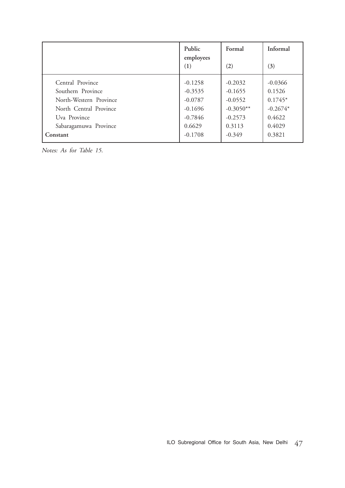|                        | Public<br>employees<br>(1) | Formal<br>(2) | Informal<br>(3) |
|------------------------|----------------------------|---------------|-----------------|
| Central Province       | $-0.1258$                  | $-0.2032$     | $-0.0366$       |
| Southern Province      | $-0.3535$                  | $-0.1655$     | 0.1526          |
| North-Western Province | $-0.0787$                  | $-0.0552$     | $0.1745*$       |
| North Central Province | $-0.1696$                  | $-0.3050**$   | $-0.2674*$      |
| Uva Province           | $-0.7846$                  | $-0.2573$     | 0.4622          |
| Sabaragamuwa Province  | 0.6629                     | 0.3113        | 0.4029          |
| Constant               | $-0.1708$                  | $-0.349$      | 0.3821          |

Notes: As for Table 15.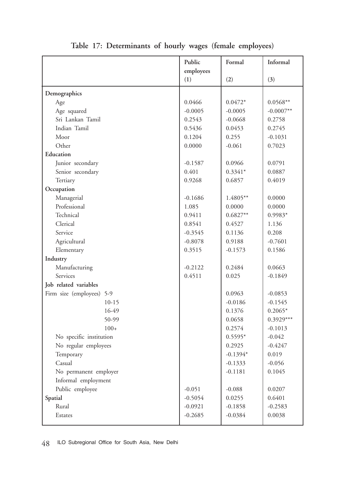|                                | Public    | Formal     | Informal    |
|--------------------------------|-----------|------------|-------------|
|                                | employees |            |             |
|                                | (1)       | (2)        | (3)         |
| Demographics                   |           |            |             |
| Age                            | 0.0466    | $0.0472*$  | $0.0568**$  |
| Age squared                    | $-0.0005$ | $-0.0005$  | $-0.0007**$ |
| Sri Lankan Tamil               | 0.2543    | $-0.0668$  | 0.2758      |
| Indian Tamil                   | 0.5436    | 0.0453     | 0.2745      |
| Moor                           | 0.1204    | 0.255      | $-0.1031$   |
| Other                          | 0.0000    | $-0.061$   | 0.7023      |
| Education                      |           |            |             |
| Junior secondary               | $-0.1587$ | 0.0966     | 0.0791      |
| Senior secondary               | 0.401     | $0.3341*$  | 0.0887      |
| Tertiary                       | 0.9268    | 0.6857     | 0.4019      |
| Occupation                     |           |            |             |
| Managerial                     | $-0.1686$ | 1.4805**   | 0.0000      |
| Professional                   | 1.085     | 0.0000     | 0.0000      |
| Technical                      | 0.9411    | $0.6827**$ | $0.9983*$   |
| Clerical                       | 0.8541    | 0.4527     | 1.136       |
| Service                        | $-0.3545$ | 0.1136     | 0.208       |
| Agricultural                   | $-0.8078$ | 0.9188     | $-0.7601$   |
| Elementary                     | 0.3515    | $-0.1573$  | 0.1586      |
| Industry                       |           |            |             |
| Manufacturing                  | $-0.2122$ | 0.2484     | 0.0663      |
| Services                       | 0.4511    | 0.025      | $-0.1849$   |
| Job related variables          |           |            |             |
| Firm size (employees)<br>$5-9$ |           | 0.0963     | $-0.0853$   |
| $10-15$                        |           | $-0.0186$  | $-0.1545$   |
| 16-49                          |           | 0.1376     | $0.2065*$   |
| 50-99                          |           | 0.0658     | $0.3929***$ |
| $100+$                         |           | 0.2574     | $-0.1013$   |
| No specific institution        |           | $0.5595*$  | $-0.042$    |
| No regular employees           |           | 0.2925     | $-0.4247$   |
| Temporary                      |           | $-0.1394*$ | 0.019       |
| Casual                         |           | $-0.1333$  | $-0.056$    |
| No permanent employer          |           | $-0.1181$  | 0.1045      |
| Informal employment            |           |            |             |
| Public employee                | $-0.051$  | $-0.088$   | 0.0207      |
| Spatial                        | $-0.5054$ | 0.0255     | 0.6401      |
| Rural                          | $-0.0921$ | $-0.1858$  | $-0.2583$   |
| Estates                        | $-0.2685$ | $-0.0384$  | 0.0038      |
|                                |           |            |             |

**Table 17: Determinants of hourly wages (female employees)**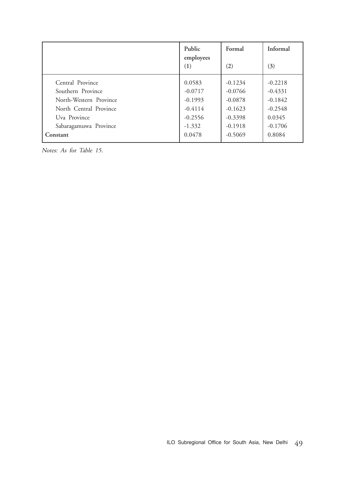|                        | Public<br>employees<br>(1) | Formal<br>(2) | Informal<br>(3) |
|------------------------|----------------------------|---------------|-----------------|
| Central Province       | 0.0583                     | $-0.1234$     | $-0.2218$       |
| Southern Province      | $-0.0717$                  | $-0.0766$     | $-0.4331$       |
| North-Western Province | $-0.1993$                  | $-0.0878$     | $-0.1842$       |
| North Central Province | $-0.4114$                  | $-0.1623$     | $-0.2548$       |
| Uva Province           | $-0.2556$                  | $-0.3398$     | 0.0345          |
| Sabaragamuwa Province  | $-1.332$                   | $-0.1918$     | $-0.1706$       |
| Constant               | 0.0478                     | $-0.5069$     | 0.8084          |

Notes: As for Table 15.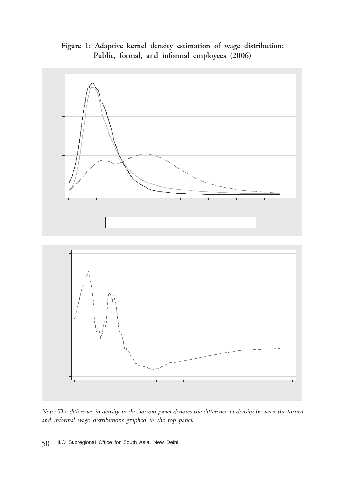**Figure 1: Adaptive kernel density estimation of wage distribution: Public, formal, and informal employees (2006)**



Note: The difference in density in the bottom panel denotes the difference in density between the formal and informal wage distributions graphed in the top panel.

50 ILO Subregional Office for South Asia, New Delhi